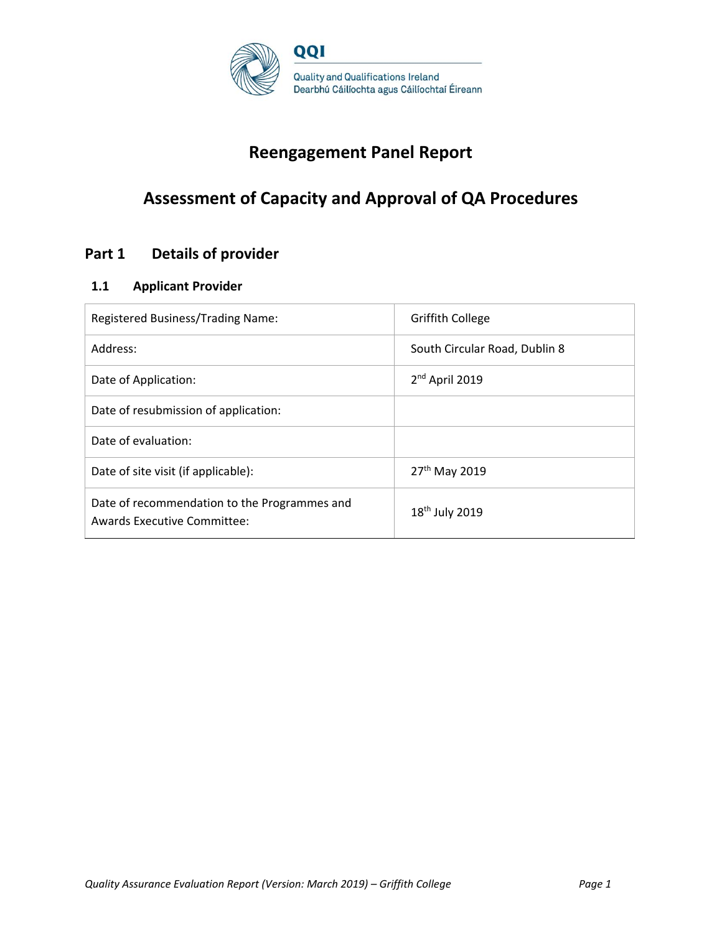

# **Reengagement Panel Report**

# **Assessment of Capacity and Approval of QA Procedures**

# **Part 1 Details of provider**

# **1.1 Applicant Provider**

| Registered Business/Trading Name:                                                  | <b>Griffith College</b>       |
|------------------------------------------------------------------------------------|-------------------------------|
| Address:                                                                           | South Circular Road, Dublin 8 |
| Date of Application:                                                               | 2 <sup>nd</sup> April 2019    |
| Date of resubmission of application:                                               |                               |
| Date of evaluation:                                                                |                               |
| Date of site visit (if applicable):                                                | 27 <sup>th</sup> May 2019     |
| Date of recommendation to the Programmes and<br><b>Awards Executive Committee:</b> | 18 <sup>th</sup> July 2019    |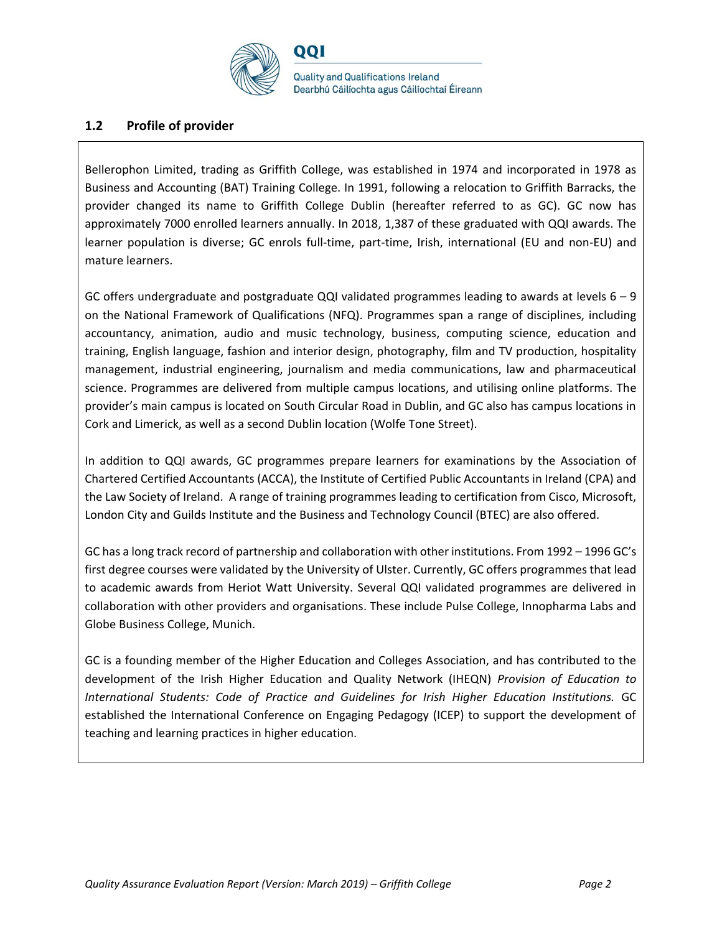

## **1.2 Profile of provider**

Bellerophon Limited, trading as Griffith College, was established in 1974 and incorporated in 1978 as Business and Accounting (BAT) Training College. In 1991, following a relocation to Griffith Barracks, the provider changed its name to Griffith College Dublin (hereafter referred to as GC). GC now has approximately 7000 enrolled learners annually. In 2018, 1,387 of these graduated with QQI awards. The learner population is diverse; GC enrols full-time, part-time, Irish, international (EU and non-EU) and mature learners.

GC offers undergraduate and postgraduate QQI validated programmes leading to awards at levels 6 – 9 on the National Framework of Qualifications (NFQ). Programmes span a range of disciplines, including accountancy, animation, audio and music technology, business, computing science, education and training, English language, fashion and interior design, photography, film and TV production, hospitality management, industrial engineering, journalism and media communications, law and pharmaceutical science. Programmes are delivered from multiple campus locations, and utilising online platforms. The provider's main campus is located on South Circular Road in Dublin, and GC also has campus locations in Cork and Limerick, as well as a second Dublin location (Wolfe Tone Street).

In addition to QQI awards, GC programmes prepare learners for examinations by the Association of Chartered Certified Accountants (ACCA), the Institute of Certified Public Accountants in Ireland (CPA) and the Law Society of Ireland. A range of training programmes leading to certification from Cisco, Microsoft, London City and Guilds Institute and the Business and Technology Council (BTEC) are also offered.

GC has a long track record of partnership and collaboration with other institutions. From 1992 – 1996 GC's first degree courses were validated by the University of Ulster. Currently, GC offers programmes that lead to academic awards from Heriot Watt University. Several QQI validated programmes are delivered in collaboration with other providers and organisations. These include Pulse College, Innopharma Labs and Globe Business College, Munich.

GC is a founding member of the Higher Education and Colleges Association, and has contributed to the development of the Irish Higher Education and Quality Network (IHEQN) *Provision of Education to International Students: Code of Practice and Guidelines for Irish Higher Education Institutions.* GC established the International Conference on Engaging Pedagogy (ICEP) to support the development of teaching and learning practices in higher education.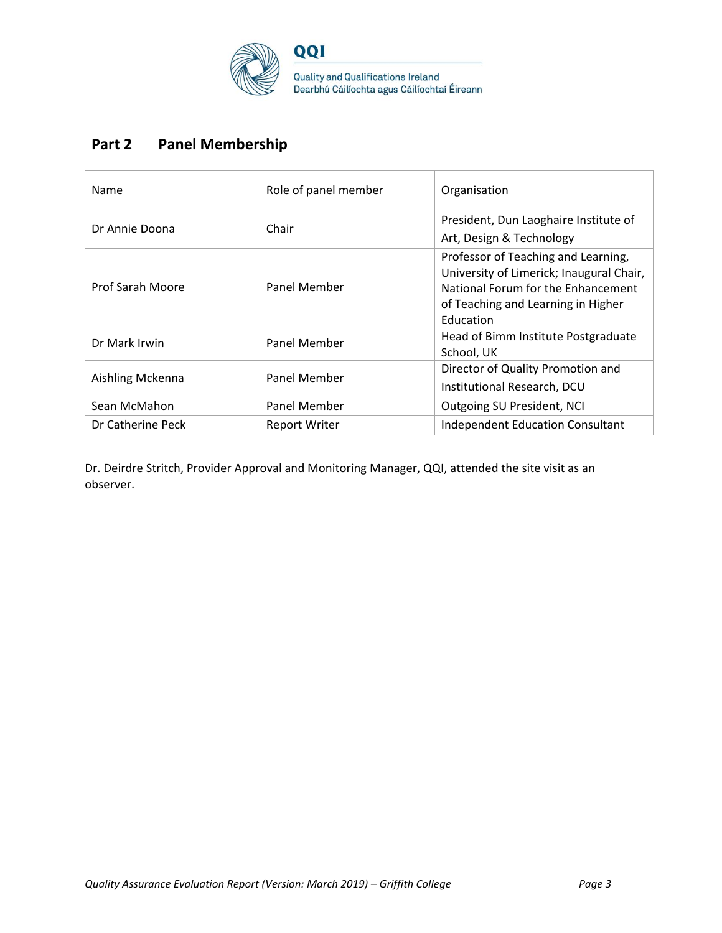

# **Part 2 Panel Membership**

| Name                    | Role of panel member | Organisation                                                                                                                                                             |
|-------------------------|----------------------|--------------------------------------------------------------------------------------------------------------------------------------------------------------------------|
| Dr Annie Doona          | Chair                | President, Dun Laoghaire Institute of                                                                                                                                    |
|                         |                      | Art, Design & Technology                                                                                                                                                 |
| <b>Prof Sarah Moore</b> | Panel Member         | Professor of Teaching and Learning,<br>University of Limerick; Inaugural Chair,<br>National Forum for the Enhancement<br>of Teaching and Learning in Higher<br>Education |
| Dr Mark Irwin           | Panel Member         | Head of Bimm Institute Postgraduate<br>School, UK                                                                                                                        |
| Aishling Mckenna        | Panel Member         | Director of Quality Promotion and<br>Institutional Research, DCU                                                                                                         |
| Sean McMahon            | Panel Member         | Outgoing SU President, NCI                                                                                                                                               |
| Dr Catherine Peck       | <b>Report Writer</b> | <b>Independent Education Consultant</b>                                                                                                                                  |

Dr. Deirdre Stritch, Provider Approval and Monitoring Manager, QQI, attended the site visit as an observer.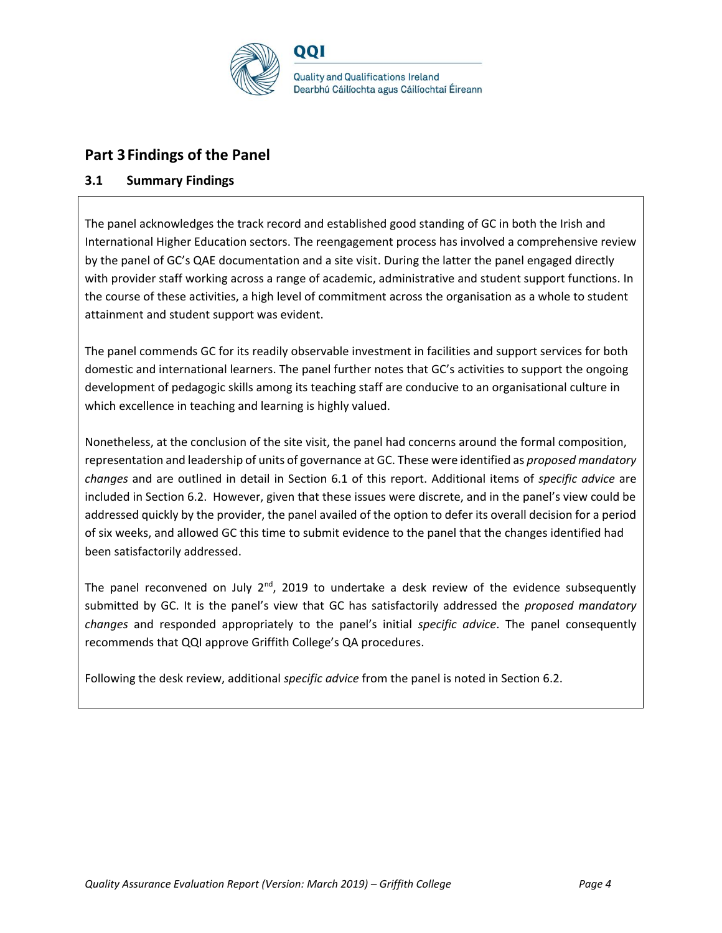

# **Part 3Findings of the Panel**

# **3.1 Summary Findings**

The panel acknowledges the track record and established good standing of GC in both the Irish and International Higher Education sectors. The reengagement process has involved a comprehensive review by the panel of GC's QAE documentation and a site visit. During the latter the panel engaged directly with provider staff working across a range of academic, administrative and student support functions. In the course of these activities, a high level of commitment across the organisation as a whole to student attainment and student support was evident.

The panel commends GC for its readily observable investment in facilities and support services for both domestic and international learners. The panel further notes that GC's activities to support the ongoing development of pedagogic skills among its teaching staff are conducive to an organisational culture in which excellence in teaching and learning is highly valued.

Nonetheless, at the conclusion of the site visit, the panel had concerns around the formal composition, representation and leadership of units of governance at GC. These were identified as *proposed mandatory changes* and are outlined in detail in Section 6.1 of this report. Additional items of *specific advice* are included in Section 6.2. However, given that these issues were discrete, and in the panel's view could be addressed quickly by the provider, the panel availed of the option to defer its overall decision for a period of six weeks, and allowed GC this time to submit evidence to the panel that the changes identified had been satisfactorily addressed.

The panel reconvened on July  $2<sup>nd</sup>$ , 2019 to undertake a desk review of the evidence subsequently submitted by GC. It is the panel's view that GC has satisfactorily addressed the *proposed mandatory changes* and responded appropriately to the panel's initial *specific advice*. The panel consequently recommends that QQI approve Griffith College's QA procedures.

Following the desk review, additional *specific advice* from the panel is noted in Section 6.2.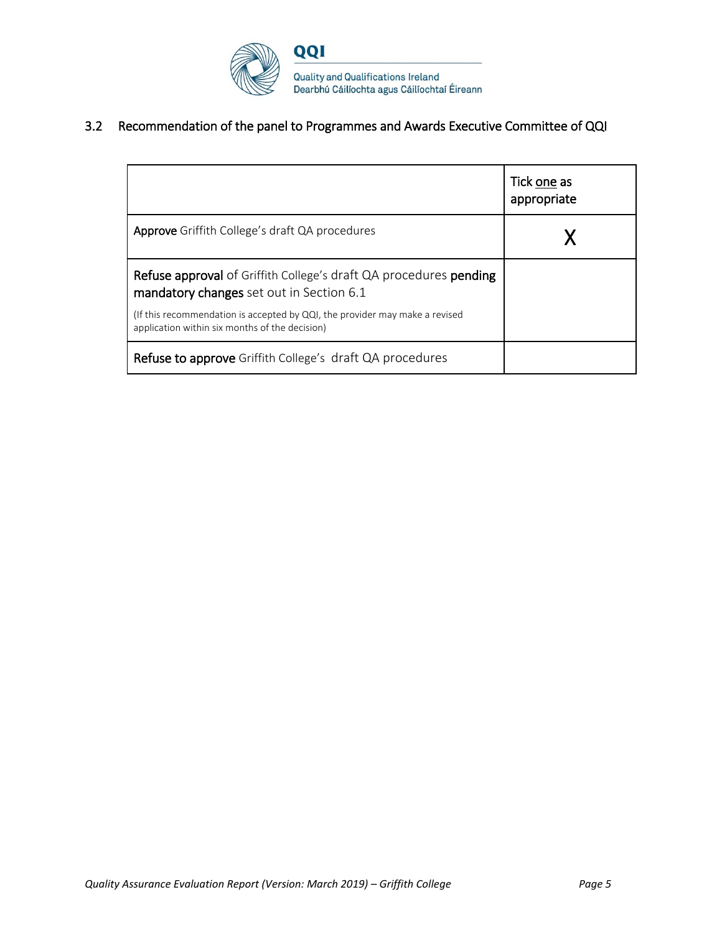

# 3.2 Recommendation of the panel to Programmes and Awards Executive Committee of QQI

|                                                                                                                               | Tick one as<br>appropriate |
|-------------------------------------------------------------------------------------------------------------------------------|----------------------------|
| <b>Approve</b> Griffith College's draft QA procedures                                                                         |                            |
| <b>Refuse approval</b> of Griffith College's draft QA procedures <b>pending</b><br>mandatory changes set out in Section 6.1   |                            |
| (If this recommendation is accepted by QQI, the provider may make a revised<br>application within six months of the decision) |                            |
| <b>Refuse to approve</b> Griffith College's draft QA procedures                                                               |                            |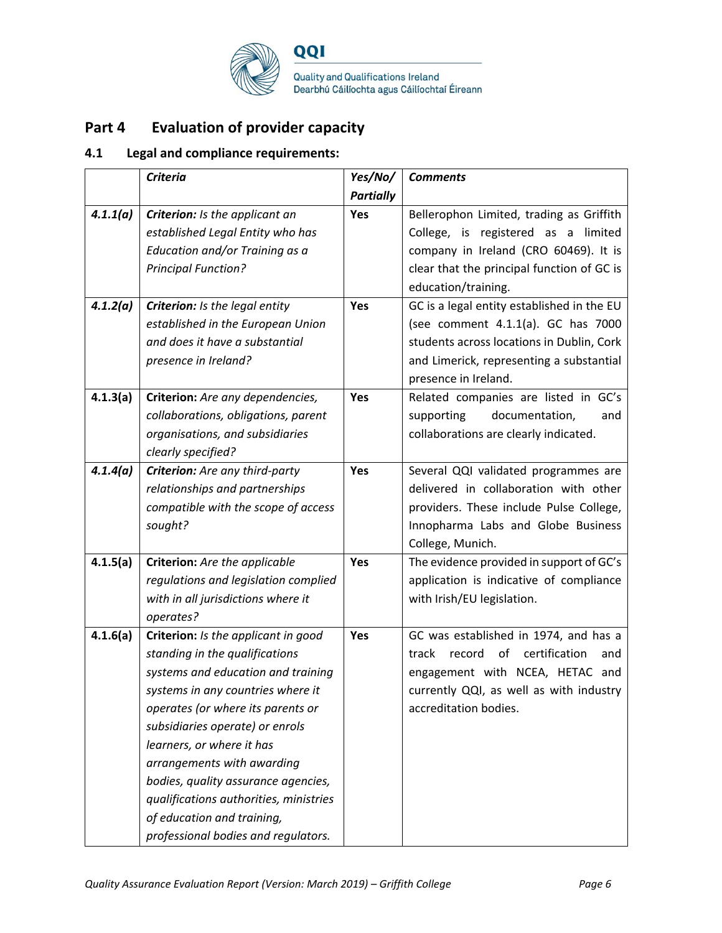

# **Part 4 Evaluation of provider capacity**

# **4.1 Legal and compliance requirements:**

|          | <b>Criteria</b>                        | Yes/No/          | <b>Comments</b>                               |
|----------|----------------------------------------|------------------|-----------------------------------------------|
|          |                                        | <b>Partially</b> |                                               |
| 4.1.1(a) | Criterion: Is the applicant an         | Yes              | Bellerophon Limited, trading as Griffith      |
|          | established Legal Entity who has       |                  | College, is registered as a limited           |
|          | Education and/or Training as a         |                  | company in Ireland (CRO 60469). It is         |
|          | <b>Principal Function?</b>             |                  | clear that the principal function of GC is    |
|          |                                        |                  | education/training.                           |
| 4.1.2(a) | Criterion: Is the legal entity         | Yes              | GC is a legal entity established in the EU    |
|          | established in the European Union      |                  | (see comment 4.1.1(a). GC has 7000            |
|          | and does it have a substantial         |                  | students across locations in Dublin, Cork     |
|          | presence in Ireland?                   |                  | and Limerick, representing a substantial      |
|          |                                        |                  | presence in Ireland.                          |
| 4.1.3(a) | Criterion: Are any dependencies,       | Yes              | Related companies are listed in GC's          |
|          | collaborations, obligations, parent    |                  | supporting<br>documentation,<br>and           |
|          | organisations, and subsidiaries        |                  | collaborations are clearly indicated.         |
|          | clearly specified?                     |                  |                                               |
| 4.1.4(a) | Criterion: Are any third-party         | Yes              | Several QQI validated programmes are          |
|          | relationships and partnerships         |                  | delivered in collaboration with other         |
|          | compatible with the scope of access    |                  | providers. These include Pulse College,       |
|          | sought?                                |                  | Innopharma Labs and Globe Business            |
|          |                                        |                  | College, Munich.                              |
| 4.1.5(a) | Criterion: Are the applicable          | Yes              | The evidence provided in support of GC's      |
|          | regulations and legislation complied   |                  | application is indicative of compliance       |
|          | with in all jurisdictions where it     |                  | with Irish/EU legislation.                    |
|          | operates?                              |                  |                                               |
| 4.1.6(a) | Criterion: Is the applicant in good    | <b>Yes</b>       | GC was established in 1974, and has a         |
|          | standing in the qualifications         |                  | certification<br>track<br>record<br>of<br>and |
|          | systems and education and training     |                  | engagement with NCEA, HETAC and               |
|          | systems in any countries where it      |                  | currently QQI, as well as with industry       |
|          | operates (or where its parents or      |                  | accreditation bodies.                         |
|          | subsidiaries operate) or enrols        |                  |                                               |
|          | learners, or where it has              |                  |                                               |
|          | arrangements with awarding             |                  |                                               |
|          | bodies, quality assurance agencies,    |                  |                                               |
|          | qualifications authorities, ministries |                  |                                               |
|          | of education and training,             |                  |                                               |
|          | professional bodies and regulators.    |                  |                                               |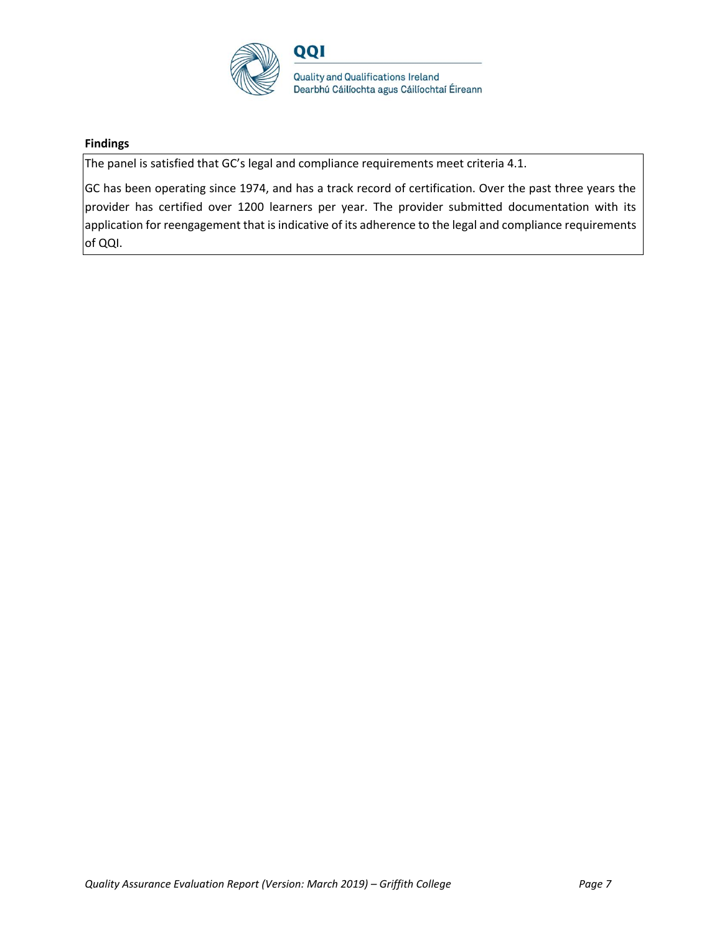

## **Findings**

The panel is satisfied that GC's legal and compliance requirements meet criteria 4.1.

GC has been operating since 1974, and has a track record of certification. Over the past three years the provider has certified over 1200 learners per year. The provider submitted documentation with its application for reengagement that is indicative of its adherence to the legal and compliance requirements of QQI.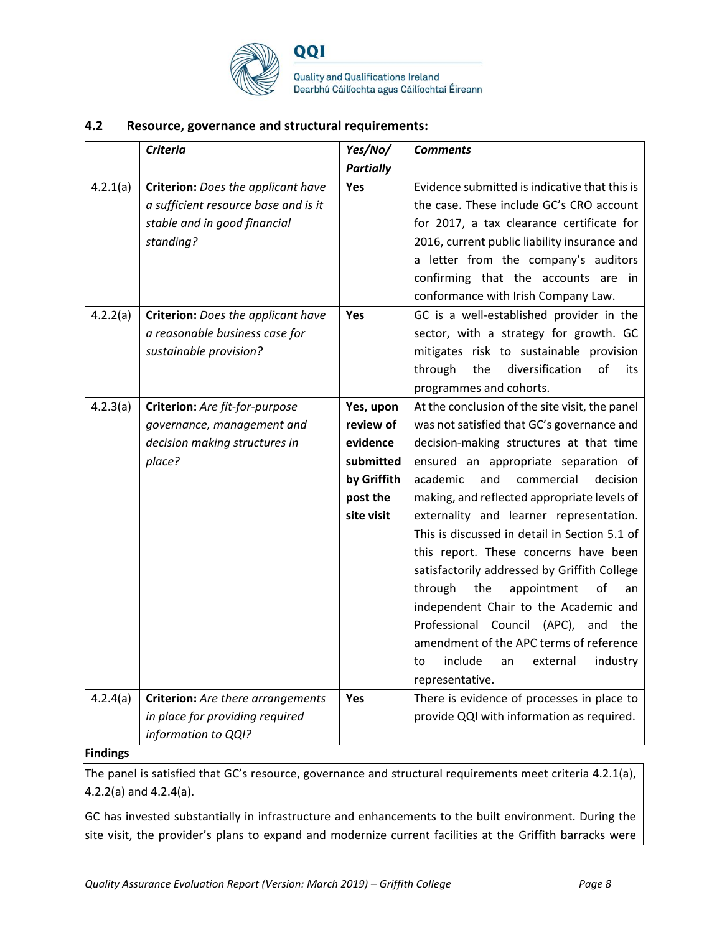

QQI

Quality and Qualifications Ireland Dearbhú Cáilíochta agus Cáilíochtaí Éireann

## **4.2 Resource, governance and structural requirements:**

|          | <b>Criteria</b>                          | Yes/No/          | <b>Comments</b>                                |
|----------|------------------------------------------|------------------|------------------------------------------------|
|          |                                          | <b>Partially</b> |                                                |
| 4.2.1(a) | Criterion: Does the applicant have       | Yes              | Evidence submitted is indicative that this is  |
|          | a sufficient resource base and is it     |                  | the case. These include GC's CRO account       |
|          | stable and in good financial             |                  | for 2017, a tax clearance certificate for      |
|          | standing?                                |                  | 2016, current public liability insurance and   |
|          |                                          |                  | a letter from the company's auditors           |
|          |                                          |                  | confirming that the accounts are in            |
|          |                                          |                  | conformance with Irish Company Law.            |
| 4.2.2(a) | Criterion: Does the applicant have       | Yes              | GC is a well-established provider in the       |
|          | a reasonable business case for           |                  | sector, with a strategy for growth. GC         |
|          | sustainable provision?                   |                  | mitigates risk to sustainable provision        |
|          |                                          |                  | through<br>the<br>diversification<br>of<br>its |
|          |                                          |                  | programmes and cohorts.                        |
| 4.2.3(a) | Criterion: Are fit-for-purpose           | Yes, upon        | At the conclusion of the site visit, the panel |
|          | governance, management and               | review of        | was not satisfied that GC's governance and     |
|          | decision making structures in            | evidence         | decision-making structures at that time        |
|          | place?                                   | submitted        | ensured an appropriate separation of           |
|          |                                          | by Griffith      | and<br>academic<br>commercial<br>decision      |
|          |                                          | post the         | making, and reflected appropriate levels of    |
|          |                                          | site visit       | externality and learner representation.        |
|          |                                          |                  | This is discussed in detail in Section 5.1 of  |
|          |                                          |                  | this report. These concerns have been          |
|          |                                          |                  | satisfactorily addressed by Griffith College   |
|          |                                          |                  | through<br>the<br>appointment<br>of<br>an      |
|          |                                          |                  | independent Chair to the Academic and          |
|          |                                          |                  | Professional Council (APC), and the            |
|          |                                          |                  | amendment of the APC terms of reference        |
|          |                                          |                  | include<br>an<br>external<br>industry<br>to    |
|          |                                          |                  | representative.                                |
| 4.2.4(a) | <b>Criterion:</b> Are there arrangements | Yes              | There is evidence of processes in place to     |
|          | in place for providing required          |                  | provide QQI with information as required.      |
|          | information to QQI?                      |                  |                                                |

## **Findings**

The panel is satisfied that GC's resource, governance and structural requirements meet criteria 4.2.1(a), 4.2.2(a) and 4.2.4(a).

GC has invested substantially in infrastructure and enhancements to the built environment. During the site visit, the provider's plans to expand and modernize current facilities at the Griffith barracks were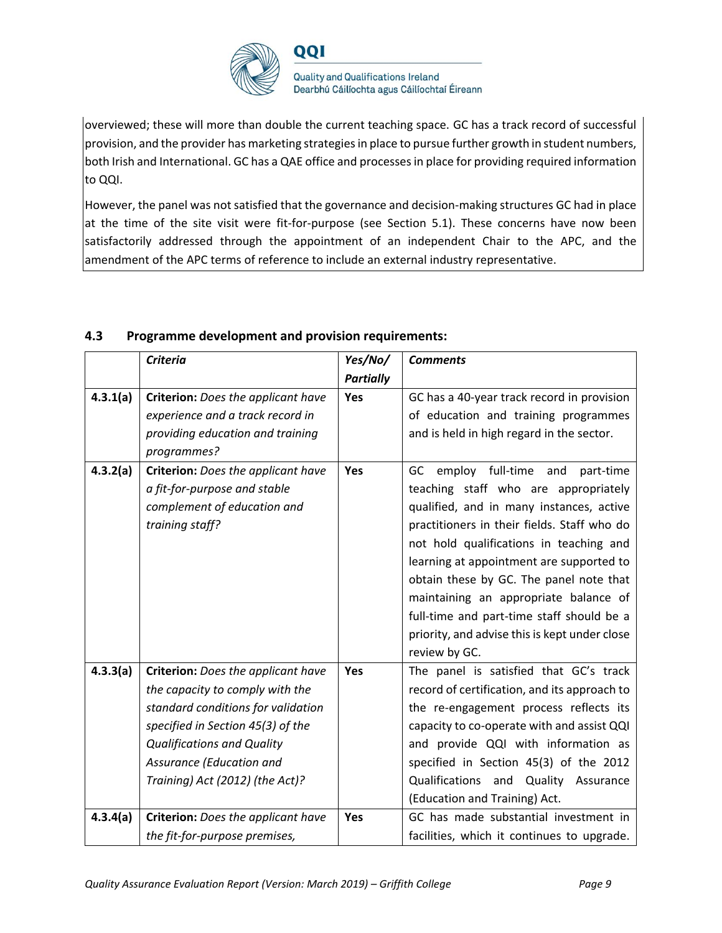

overviewed; these will more than double the current teaching space. GC has a track record of successful provision, and the provider has marketing strategies in place to pursue further growth in student numbers, both Irish and International. GC has a QAE office and processes in place for providing required information to QQI.

However, the panel was not satisfied that the governance and decision-making structures GC had in place at the time of the site visit were fit-for-purpose (see Section 5.1). These concerns have now been satisfactorily addressed through the appointment of an independent Chair to the APC, and the amendment of the APC terms of reference to include an external industry representative.

|          | <b>Criteria</b>                    | Yes/No/          | <b>Comments</b>                                                |
|----------|------------------------------------|------------------|----------------------------------------------------------------|
|          |                                    | <b>Partially</b> |                                                                |
| 4.3.1(a) | Criterion: Does the applicant have | Yes              | GC has a 40-year track record in provision                     |
|          | experience and a track record in   |                  | of education and training programmes                           |
|          | providing education and training   |                  | and is held in high regard in the sector.                      |
|          | programmes?                        |                  |                                                                |
| 4.3.2(a) | Criterion: Does the applicant have | Yes              | employ full-time and<br>GC<br>part-time                        |
|          | a fit-for-purpose and stable       |                  | teaching staff who are appropriately                           |
|          | complement of education and        |                  | qualified, and in many instances, active                       |
|          | training staff?                    |                  | practitioners in their fields. Staff who do                    |
|          |                                    |                  | not hold qualifications in teaching and                        |
|          |                                    |                  | learning at appointment are supported to                       |
|          |                                    |                  | obtain these by GC. The panel note that                        |
|          |                                    |                  | maintaining an appropriate balance of                          |
|          |                                    |                  | full-time and part-time staff should be a                      |
|          |                                    |                  | priority, and advise this is kept under close<br>review by GC. |
|          |                                    |                  |                                                                |
| 4.3.3(a) | Criterion: Does the applicant have | Yes              | The panel is satisfied that GC's track                         |
|          | the capacity to comply with the    |                  | record of certification, and its approach to                   |
|          | standard conditions for validation |                  | the re-engagement process reflects its                         |
|          | specified in Section 45(3) of the  |                  | capacity to co-operate with and assist QQI                     |
|          | <b>Qualifications and Quality</b>  |                  | and provide QQI with information as                            |
|          | Assurance (Education and           |                  | specified in Section 45(3) of the 2012                         |
|          | Training) Act (2012) (the Act)?    |                  | Qualifications and Quality Assurance                           |
|          |                                    |                  | (Education and Training) Act.                                  |
| 4.3.4(a) | Criterion: Does the applicant have | Yes              | GC has made substantial investment in                          |
|          | the fit-for-purpose premises,      |                  | facilities, which it continues to upgrade.                     |

# **4.3 Programme development and provision requirements:**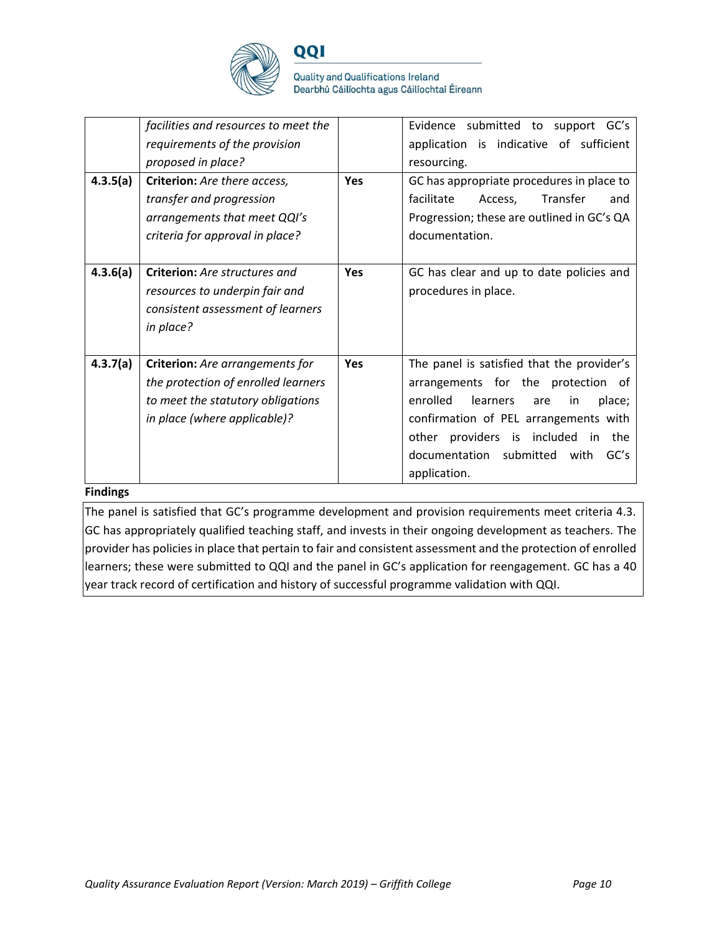

QQI

|          | facilities and resources to meet the<br>requirements of the provision<br>proposed in place?                                                 |            | Evidence submitted to support GC's<br>application is indicative of sufficient<br>resourcing.                                                                                                                                                                                        |
|----------|---------------------------------------------------------------------------------------------------------------------------------------------|------------|-------------------------------------------------------------------------------------------------------------------------------------------------------------------------------------------------------------------------------------------------------------------------------------|
| 4.3.5(a) | Criterion: Are there access,<br>transfer and progression<br>arrangements that meet QQI's<br>criteria for approval in place?                 | <b>Yes</b> | GC has appropriate procedures in place to<br>facilitate<br>Transfer<br>Access,<br>and<br>Progression; these are outlined in GC's QA<br>documentation.                                                                                                                               |
| 4.3.6(a) | Criterion: Are structures and<br>resources to underpin fair and<br>consistent assessment of learners<br>in place?                           | <b>Yes</b> | GC has clear and up to date policies and<br>procedures in place.                                                                                                                                                                                                                    |
| 4.3.7(a) | Criterion: Are arrangements for<br>the protection of enrolled learners<br>to meet the statutory obligations<br>in place (where applicable)? | <b>Yes</b> | The panel is satisfied that the provider's<br>arrangements for the protection of<br>enrolled<br>learners<br>are<br>in<br>place;<br>confirmation of PEL arrangements with<br>providers is included<br>other<br>the<br>-in<br>documentation submitted<br>GC's<br>with<br>application. |

# **Findings**

The panel is satisfied that GC's programme development and provision requirements meet criteria 4.3. GC has appropriately qualified teaching staff, and invests in their ongoing development as teachers. The provider has policies in place that pertain to fair and consistent assessment and the protection of enrolled learners; these were submitted to QQI and the panel in GC's application for reengagement. GC has a 40 year track record of certification and history of successful programme validation with QQI.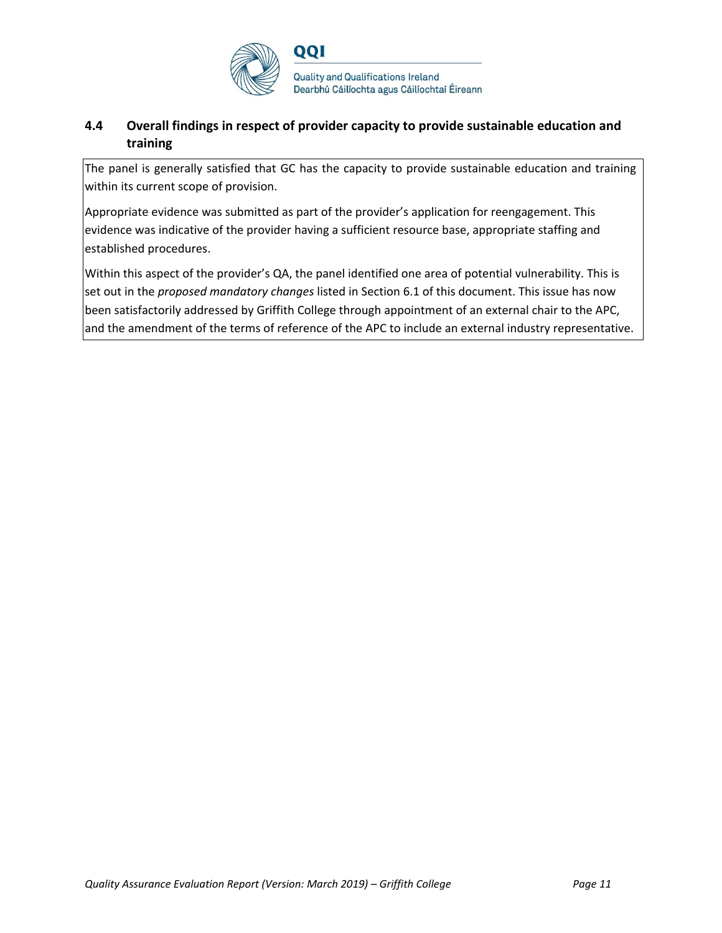

# **4.4 Overall findings in respect of provider capacity to provide sustainable education and training**

The panel is generally satisfied that GC has the capacity to provide sustainable education and training within its current scope of provision.

Appropriate evidence was submitted as part of the provider's application for reengagement. This evidence was indicative of the provider having a sufficient resource base, appropriate staffing and established procedures.

Within this aspect of the provider's QA, the panel identified one area of potential vulnerability. This is set out in the *proposed mandatory changes* listed in Section 6.1 of this document. This issue has now been satisfactorily addressed by Griffith College through appointment of an external chair to the APC, and the amendment of the terms of reference of the APC to include an external industry representative.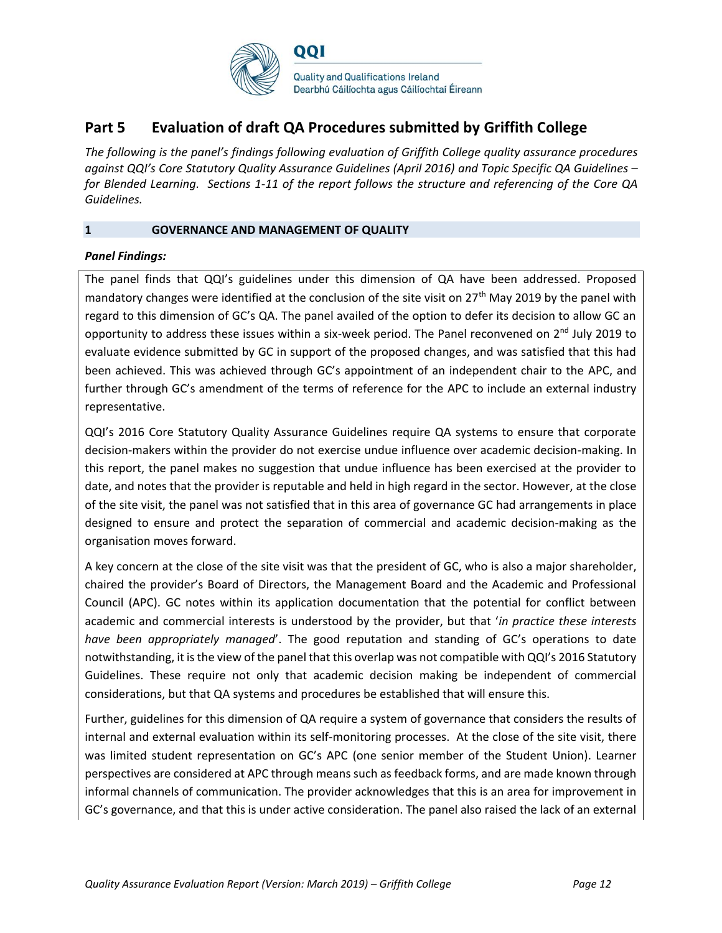

# **Part 5 Evaluation of draft QA Procedures submitted by Griffith College**

*The following is the panel's findings following evaluation of Griffith College quality assurance procedures against QQI's Core Statutory Quality Assurance Guidelines (April 2016) and Topic Specific QA Guidelines – for Blended Learning. Sections 1-11 of the report follows the structure and referencing of the Core QA Guidelines.* 

## **1 GOVERNANCE AND MANAGEMENT OF QUALITY**

## *Panel Findings:*

The panel finds that QQI's guidelines under this dimension of QA have been addressed. Proposed mandatory changes were identified at the conclusion of the site visit on 27<sup>th</sup> May 2019 by the panel with regard to this dimension of GC's QA. The panel availed of the option to defer its decision to allow GC an opportunity to address these issues within a six-week period. The Panel reconvened on  $2^{nd}$  July 2019 to evaluate evidence submitted by GC in support of the proposed changes, and was satisfied that this had been achieved. This was achieved through GC's appointment of an independent chair to the APC, and further through GC's amendment of the terms of reference for the APC to include an external industry representative.

QQI's 2016 Core Statutory Quality Assurance Guidelines require QA systems to ensure that corporate decision-makers within the provider do not exercise undue influence over academic decision-making. In this report, the panel makes no suggestion that undue influence has been exercised at the provider to date, and notes that the provider is reputable and held in high regard in the sector. However, at the close of the site visit, the panel was not satisfied that in this area of governance GC had arrangements in place designed to ensure and protect the separation of commercial and academic decision-making as the organisation moves forward.

A key concern at the close of the site visit was that the president of GC, who is also a major shareholder, chaired the provider's Board of Directors, the Management Board and the Academic and Professional Council (APC). GC notes within its application documentation that the potential for conflict between academic and commercial interests is understood by the provider, but that '*in practice these interests have been appropriately managed*'. The good reputation and standing of GC's operations to date notwithstanding, it is the view of the panel that this overlap was not compatible with QQI's 2016 Statutory Guidelines. These require not only that academic decision making be independent of commercial considerations, but that QA systems and procedures be established that will ensure this.

Further, guidelines for this dimension of QA require a system of governance that considers the results of internal and external evaluation within its self-monitoring processes. At the close of the site visit, there was limited student representation on GC's APC (one senior member of the Student Union). Learner perspectives are considered at APC through means such as feedback forms, and are made known through informal channels of communication. The provider acknowledges that this is an area for improvement in GC's governance, and that this is under active consideration. The panel also raised the lack of an external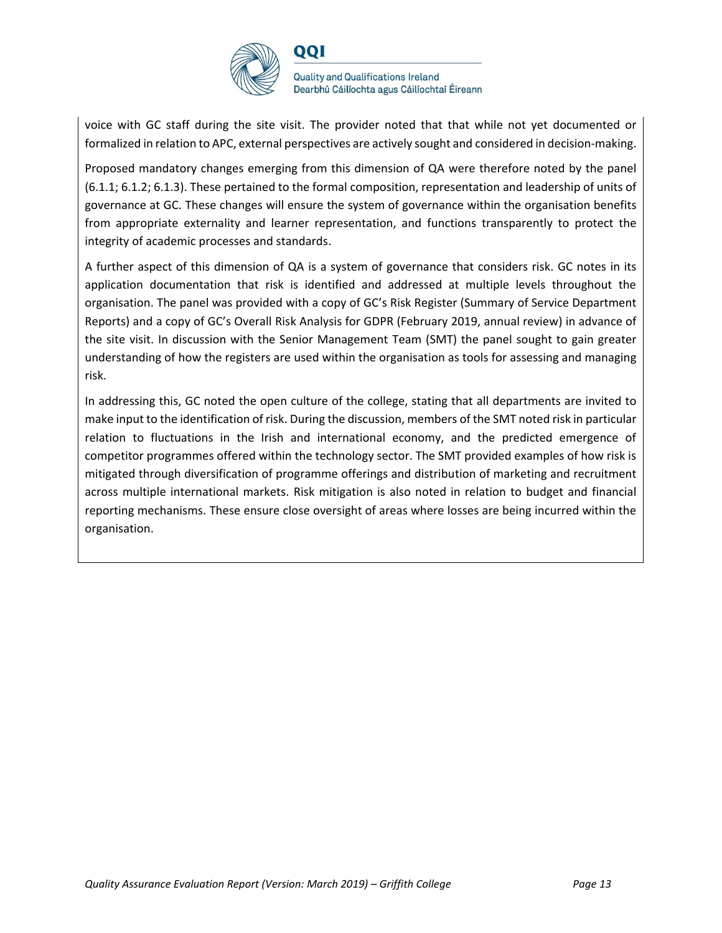

voice with GC staff during the site visit. The provider noted that that while not yet documented or formalized in relation to APC, external perspectives are actively sought and considered in decision-making.

Proposed mandatory changes emerging from this dimension of QA were therefore noted by the panel (6.1.1; 6.1.2; 6.1.3). These pertained to the formal composition, representation and leadership of units of governance at GC. These changes will ensure the system of governance within the organisation benefits from appropriate externality and learner representation, and functions transparently to protect the integrity of academic processes and standards.

A further aspect of this dimension of QA is a system of governance that considers risk. GC notes in its application documentation that risk is identified and addressed at multiple levels throughout the organisation. The panel was provided with a copy of GC's Risk Register (Summary of Service Department Reports) and a copy of GC's Overall Risk Analysis for GDPR (February 2019, annual review) in advance of the site visit. In discussion with the Senior Management Team (SMT) the panel sought to gain greater understanding of how the registers are used within the organisation as tools for assessing and managing risk.

In addressing this, GC noted the open culture of the college, stating that all departments are invited to make input to the identification of risk. During the discussion, members of the SMT noted risk in particular relation to fluctuations in the Irish and international economy, and the predicted emergence of competitor programmes offered within the technology sector. The SMT provided examples of how risk is mitigated through diversification of programme offerings and distribution of marketing and recruitment across multiple international markets. Risk mitigation is also noted in relation to budget and financial reporting mechanisms. These ensure close oversight of areas where losses are being incurred within the organisation.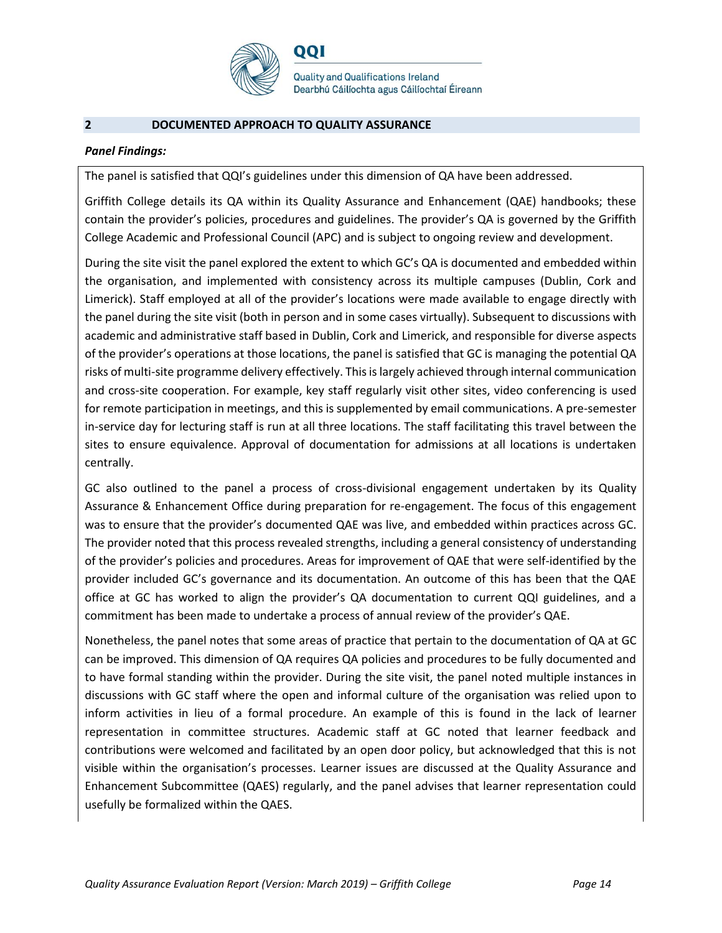

## **2 DOCUMENTED APPROACH TO QUALITY ASSURANCE**

## *Panel Findings:*

The panel is satisfied that QQI's guidelines under this dimension of QA have been addressed.

QQI

Griffith College details its QA within its Quality Assurance and Enhancement (QAE) handbooks; these contain the provider's policies, procedures and guidelines. The provider's QA is governed by the Griffith College Academic and Professional Council (APC) and is subject to ongoing review and development.

During the site visit the panel explored the extent to which GC's QA is documented and embedded within the organisation, and implemented with consistency across its multiple campuses (Dublin, Cork and Limerick). Staff employed at all of the provider's locations were made available to engage directly with the panel during the site visit (both in person and in some cases virtually). Subsequent to discussions with academic and administrative staff based in Dublin, Cork and Limerick, and responsible for diverse aspects of the provider's operations at those locations, the panel is satisfied that GC is managing the potential QA risks of multi-site programme delivery effectively. This is largely achieved through internal communication and cross-site cooperation. For example, key staff regularly visit other sites, video conferencing is used for remote participation in meetings, and this is supplemented by email communications. A pre-semester in-service day for lecturing staff is run at all three locations. The staff facilitating this travel between the sites to ensure equivalence. Approval of documentation for admissions at all locations is undertaken centrally.

GC also outlined to the panel a process of cross-divisional engagement undertaken by its Quality Assurance & Enhancement Office during preparation for re-engagement. The focus of this engagement was to ensure that the provider's documented QAE was live, and embedded within practices across GC. The provider noted that this process revealed strengths, including a general consistency of understanding of the provider's policies and procedures. Areas for improvement of QAE that were self-identified by the provider included GC's governance and its documentation. An outcome of this has been that the QAE office at GC has worked to align the provider's QA documentation to current QQI guidelines, and a commitment has been made to undertake a process of annual review of the provider's QAE.

Nonetheless, the panel notes that some areas of practice that pertain to the documentation of QA at GC can be improved. This dimension of QA requires QA policies and procedures to be fully documented and to have formal standing within the provider. During the site visit, the panel noted multiple instances in discussions with GC staff where the open and informal culture of the organisation was relied upon to inform activities in lieu of a formal procedure. An example of this is found in the lack of learner representation in committee structures. Academic staff at GC noted that learner feedback and contributions were welcomed and facilitated by an open door policy, but acknowledged that this is not visible within the organisation's processes. Learner issues are discussed at the Quality Assurance and Enhancement Subcommittee (QAES) regularly, and the panel advises that learner representation could usefully be formalized within the QAES.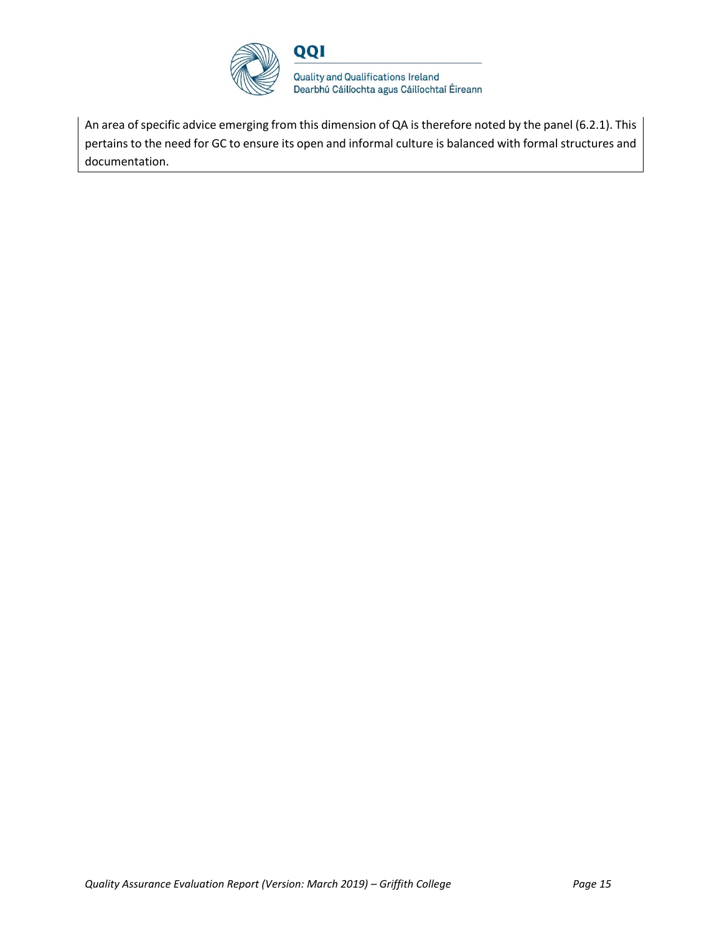

An area of specific advice emerging from this dimension of QA is therefore noted by the panel (6.2.1). This pertains to the need for GC to ensure its open and informal culture is balanced with formal structures and documentation.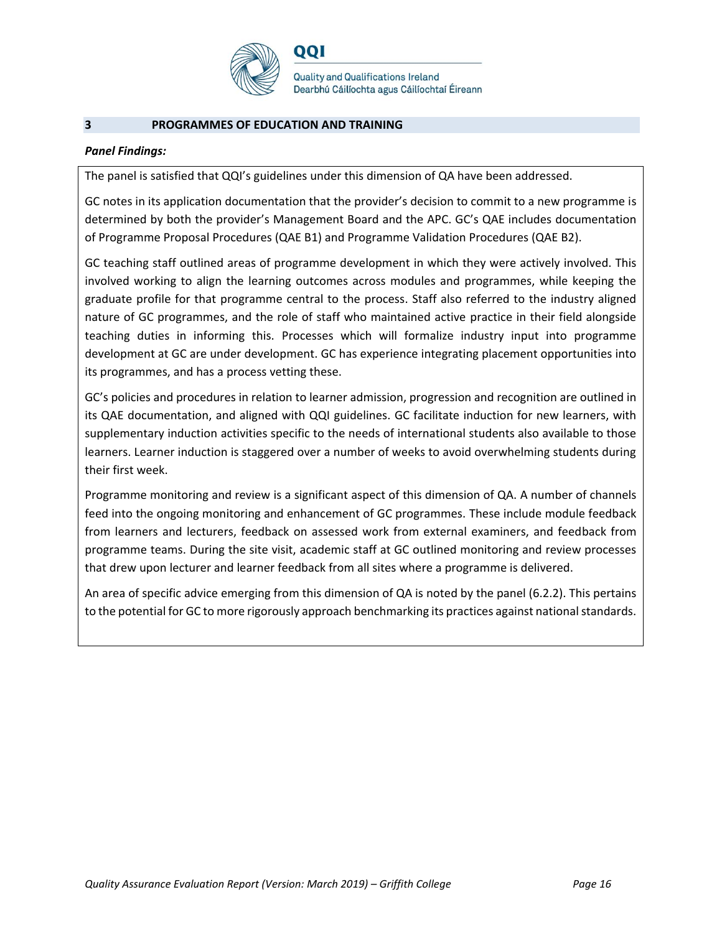

## **3 PROGRAMMES OF EDUCATION AND TRAINING**

## *Panel Findings:*

The panel is satisfied that QQI's guidelines under this dimension of QA have been addressed.

QQI

GC notes in its application documentation that the provider's decision to commit to a new programme is determined by both the provider's Management Board and the APC. GC's QAE includes documentation of Programme Proposal Procedures (QAE B1) and Programme Validation Procedures (QAE B2).

GC teaching staff outlined areas of programme development in which they were actively involved. This involved working to align the learning outcomes across modules and programmes, while keeping the graduate profile for that programme central to the process. Staff also referred to the industry aligned nature of GC programmes, and the role of staff who maintained active practice in their field alongside teaching duties in informing this. Processes which will formalize industry input into programme development at GC are under development. GC has experience integrating placement opportunities into its programmes, and has a process vetting these.

GC's policies and procedures in relation to learner admission, progression and recognition are outlined in its QAE documentation, and aligned with QQI guidelines. GC facilitate induction for new learners, with supplementary induction activities specific to the needs of international students also available to those learners. Learner induction is staggered over a number of weeks to avoid overwhelming students during their first week.

Programme monitoring and review is a significant aspect of this dimension of QA. A number of channels feed into the ongoing monitoring and enhancement of GC programmes. These include module feedback from learners and lecturers, feedback on assessed work from external examiners, and feedback from programme teams. During the site visit, academic staff at GC outlined monitoring and review processes that drew upon lecturer and learner feedback from all sites where a programme is delivered.

An area of specific advice emerging from this dimension of QA is noted by the panel (6.2.2). This pertains to the potential for GC to more rigorously approach benchmarking its practices against national standards.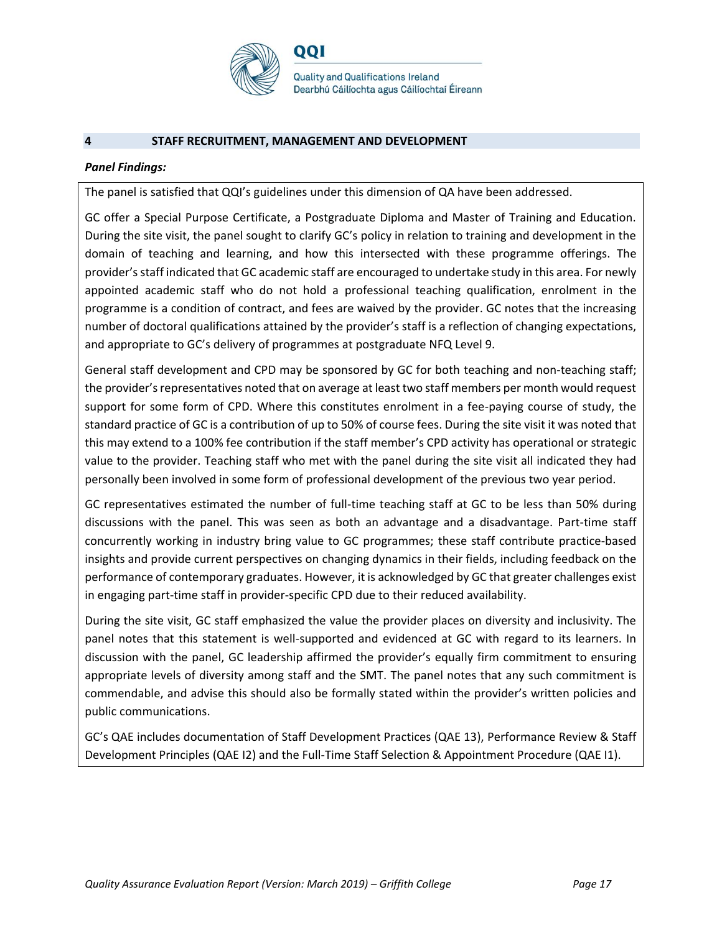

#### **4 STAFF RECRUITMENT, MANAGEMENT AND DEVELOPMENT**

#### *Panel Findings:*

The panel is satisfied that QQI's guidelines under this dimension of QA have been addressed.

GC offer a Special Purpose Certificate, a Postgraduate Diploma and Master of Training and Education. During the site visit, the panel sought to clarify GC's policy in relation to training and development in the domain of teaching and learning, and how this intersected with these programme offerings. The provider's staff indicated that GC academic staff are encouraged to undertake study in this area. For newly appointed academic staff who do not hold a professional teaching qualification, enrolment in the programme is a condition of contract, and fees are waived by the provider. GC notes that the increasing number of doctoral qualifications attained by the provider's staff is a reflection of changing expectations, and appropriate to GC's delivery of programmes at postgraduate NFQ Level 9.

General staff development and CPD may be sponsored by GC for both teaching and non-teaching staff; the provider's representatives noted that on average at least two staff members per month would request support for some form of CPD. Where this constitutes enrolment in a fee-paying course of study, the standard practice of GC is a contribution of up to 50% of course fees. During the site visit it was noted that this may extend to a 100% fee contribution if the staff member's CPD activity has operational or strategic value to the provider. Teaching staff who met with the panel during the site visit all indicated they had personally been involved in some form of professional development of the previous two year period.

GC representatives estimated the number of full-time teaching staff at GC to be less than 50% during discussions with the panel. This was seen as both an advantage and a disadvantage. Part-time staff concurrently working in industry bring value to GC programmes; these staff contribute practice-based insights and provide current perspectives on changing dynamics in their fields, including feedback on the performance of contemporary graduates. However, it is acknowledged by GC that greater challenges exist in engaging part-time staff in provider-specific CPD due to their reduced availability.

During the site visit, GC staff emphasized the value the provider places on diversity and inclusivity. The panel notes that this statement is well-supported and evidenced at GC with regard to its learners. In discussion with the panel, GC leadership affirmed the provider's equally firm commitment to ensuring appropriate levels of diversity among staff and the SMT. The panel notes that any such commitment is commendable, and advise this should also be formally stated within the provider's written policies and public communications.

GC's QAE includes documentation of Staff Development Practices (QAE 13), Performance Review & Staff Development Principles (QAE I2) and the Full-Time Staff Selection & Appointment Procedure (QAE I1).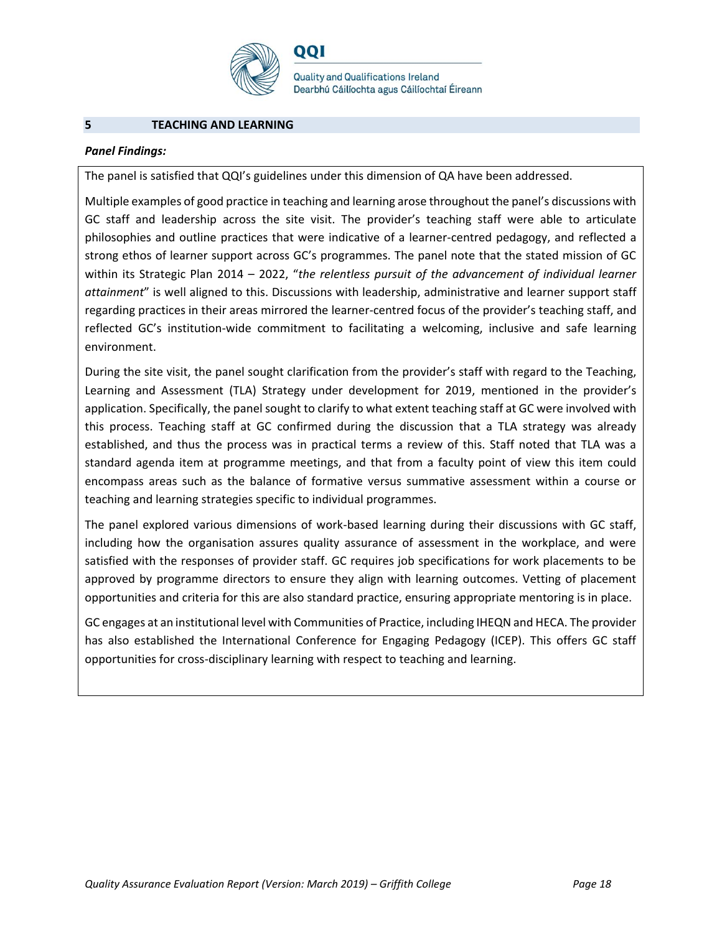

#### **5 TEACHING AND LEARNING**

#### *Panel Findings:*

The panel is satisfied that QQI's guidelines under this dimension of QA have been addressed.

QQI

Multiple examples of good practice in teaching and learning arose throughout the panel's discussions with GC staff and leadership across the site visit. The provider's teaching staff were able to articulate philosophies and outline practices that were indicative of a learner-centred pedagogy, and reflected a strong ethos of learner support across GC's programmes. The panel note that the stated mission of GC within its Strategic Plan 2014 – 2022, "*the relentless pursuit of the advancement of individual learner attainment*" is well aligned to this. Discussions with leadership, administrative and learner support staff regarding practices in their areas mirrored the learner-centred focus of the provider's teaching staff, and reflected GC's institution-wide commitment to facilitating a welcoming, inclusive and safe learning environment.

During the site visit, the panel sought clarification from the provider's staff with regard to the Teaching, Learning and Assessment (TLA) Strategy under development for 2019, mentioned in the provider's application. Specifically, the panel sought to clarify to what extent teaching staff at GC were involved with this process. Teaching staff at GC confirmed during the discussion that a TLA strategy was already established, and thus the process was in practical terms a review of this. Staff noted that TLA was a standard agenda item at programme meetings, and that from a faculty point of view this item could encompass areas such as the balance of formative versus summative assessment within a course or teaching and learning strategies specific to individual programmes.

The panel explored various dimensions of work-based learning during their discussions with GC staff, including how the organisation assures quality assurance of assessment in the workplace, and were satisfied with the responses of provider staff. GC requires job specifications for work placements to be approved by programme directors to ensure they align with learning outcomes. Vetting of placement opportunities and criteria for this are also standard practice, ensuring appropriate mentoring is in place.

GC engages at an institutional level with Communities of Practice, including IHEQN and HECA. The provider has also established the International Conference for Engaging Pedagogy (ICEP). This offers GC staff opportunities for cross-disciplinary learning with respect to teaching and learning.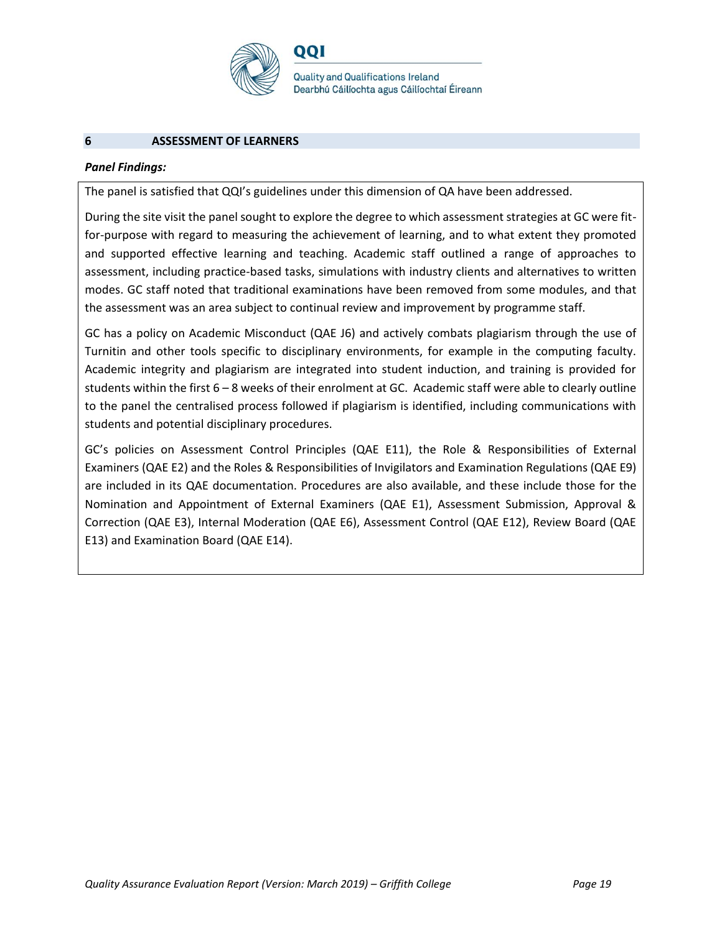

#### **6 ASSESSMENT OF LEARNERS**

#### *Panel Findings:*

The panel is satisfied that QQI's guidelines under this dimension of QA have been addressed.

001

During the site visit the panel sought to explore the degree to which assessment strategies at GC were fitfor-purpose with regard to measuring the achievement of learning, and to what extent they promoted and supported effective learning and teaching. Academic staff outlined a range of approaches to assessment, including practice-based tasks, simulations with industry clients and alternatives to written modes. GC staff noted that traditional examinations have been removed from some modules, and that the assessment was an area subject to continual review and improvement by programme staff.

GC has a policy on Academic Misconduct (QAE J6) and actively combats plagiarism through the use of Turnitin and other tools specific to disciplinary environments, for example in the computing faculty. Academic integrity and plagiarism are integrated into student induction, and training is provided for students within the first 6 – 8 weeks of their enrolment at GC. Academic staff were able to clearly outline to the panel the centralised process followed if plagiarism is identified, including communications with students and potential disciplinary procedures.

GC's policies on Assessment Control Principles (QAE E11), the Role & Responsibilities of External Examiners (QAE E2) and the Roles & Responsibilities of Invigilators and Examination Regulations (QAE E9) are included in its QAE documentation. Procedures are also available, and these include those for the Nomination and Appointment of External Examiners (QAE E1), Assessment Submission, Approval & Correction (QAE E3), Internal Moderation (QAE E6), Assessment Control (QAE E12), Review Board (QAE E13) and Examination Board (QAE E14).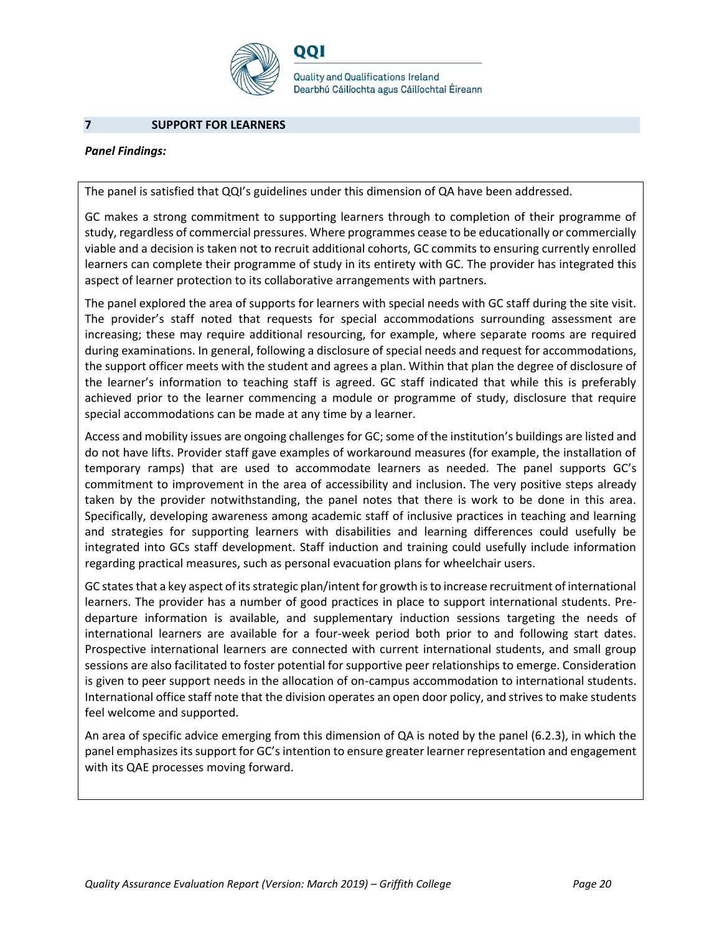

#### **7 SUPPORT FOR LEARNERS**

## *Panel Findings:*

The panel is satisfied that QQI's guidelines under this dimension of QA have been addressed.

QQI

GC makes a strong commitment to supporting learners through to completion of their programme of study, regardless of commercial pressures. Where programmes cease to be educationally or commercially viable and a decision is taken not to recruit additional cohorts, GC commits to ensuring currently enrolled learners can complete their programme of study in its entirety with GC. The provider has integrated this aspect of learner protection to its collaborative arrangements with partners.

The panel explored the area of supports for learners with special needs with GC staff during the site visit. The provider's staff noted that requests for special accommodations surrounding assessment are increasing; these may require additional resourcing, for example, where separate rooms are required during examinations. In general, following a disclosure of special needs and request for accommodations, the support officer meets with the student and agrees a plan. Within that plan the degree of disclosure of the learner's information to teaching staff is agreed. GC staff indicated that while this is preferably achieved prior to the learner commencing a module or programme of study, disclosure that require special accommodations can be made at any time by a learner.

Access and mobility issues are ongoing challenges for GC; some of the institution's buildings are listed and do not have lifts. Provider staff gave examples of workaround measures (for example, the installation of temporary ramps) that are used to accommodate learners as needed. The panel supports GC's commitment to improvement in the area of accessibility and inclusion. The very positive steps already taken by the provider notwithstanding, the panel notes that there is work to be done in this area. Specifically, developing awareness among academic staff of inclusive practices in teaching and learning and strategies for supporting learners with disabilities and learning differences could usefully be integrated into GCs staff development. Staff induction and training could usefully include information regarding practical measures, such as personal evacuation plans for wheelchair users.

GC states that a key aspect of its strategic plan/intent for growth is to increase recruitment of international learners. The provider has a number of good practices in place to support international students. Predeparture information is available, and supplementary induction sessions targeting the needs of international learners are available for a four-week period both prior to and following start dates. Prospective international learners are connected with current international students, and small group sessions are also facilitated to foster potential for supportive peer relationships to emerge. Consideration is given to peer support needs in the allocation of on-campus accommodation to international students. International office staff note that the division operates an open door policy, and strives to make students feel welcome and supported.

An area of specific advice emerging from this dimension of QA is noted by the panel (6.2.3), in which the panel emphasizes its support for GC'sintention to ensure greater learner representation and engagement with its QAE processes moving forward.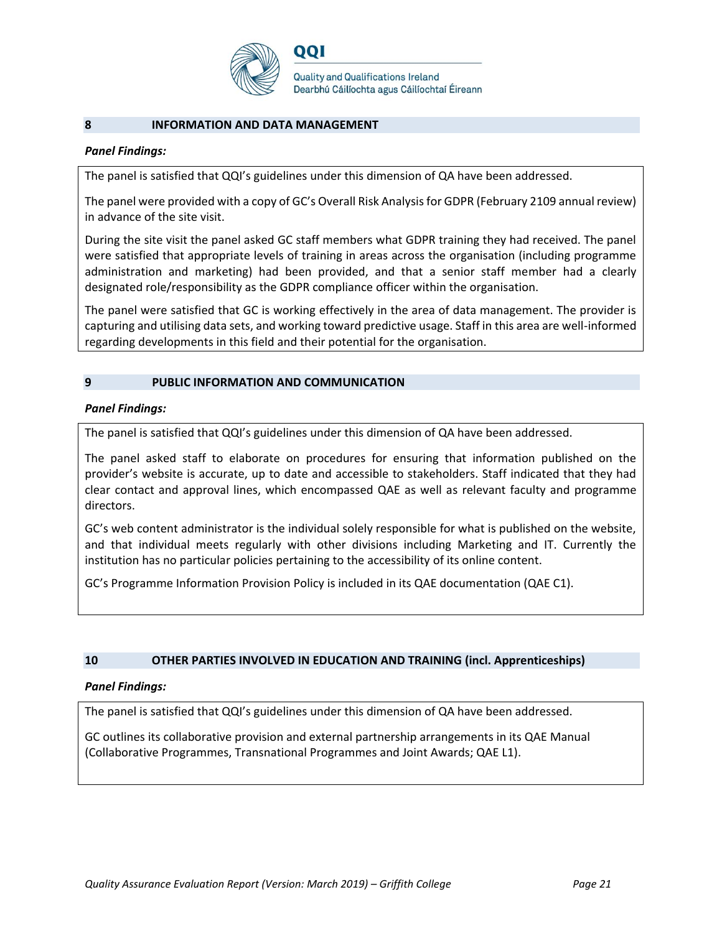

#### **8 INFORMATION AND DATA MANAGEMENT**

## *Panel Findings:*

The panel is satisfied that QQI's guidelines under this dimension of QA have been addressed.

The panel were provided with a copy of GC's Overall Risk Analysis for GDPR (February 2109 annual review) in advance of the site visit.

During the site visit the panel asked GC staff members what GDPR training they had received. The panel were satisfied that appropriate levels of training in areas across the organisation (including programme administration and marketing) had been provided, and that a senior staff member had a clearly designated role/responsibility as the GDPR compliance officer within the organisation.

The panel were satisfied that GC is working effectively in the area of data management. The provider is capturing and utilising data sets, and working toward predictive usage. Staff in this area are well-informed regarding developments in this field and their potential for the organisation.

## **9 PUBLIC INFORMATION AND COMMUNICATION**

## *Panel Findings:*

The panel is satisfied that QQI's guidelines under this dimension of QA have been addressed.

The panel asked staff to elaborate on procedures for ensuring that information published on the provider's website is accurate, up to date and accessible to stakeholders. Staff indicated that they had clear contact and approval lines, which encompassed QAE as well as relevant faculty and programme directors.

GC's web content administrator is the individual solely responsible for what is published on the website, and that individual meets regularly with other divisions including Marketing and IT. Currently the institution has no particular policies pertaining to the accessibility of its online content.

GC's Programme Information Provision Policy is included in its QAE documentation (QAE C1).

## **10 OTHER PARTIES INVOLVED IN EDUCATION AND TRAINING (incl. Apprenticeships)**

#### *Panel Findings:*

The panel is satisfied that QQI's guidelines under this dimension of QA have been addressed.

GC outlines its collaborative provision and external partnership arrangements in its QAE Manual (Collaborative Programmes, Transnational Programmes and Joint Awards; QAE L1).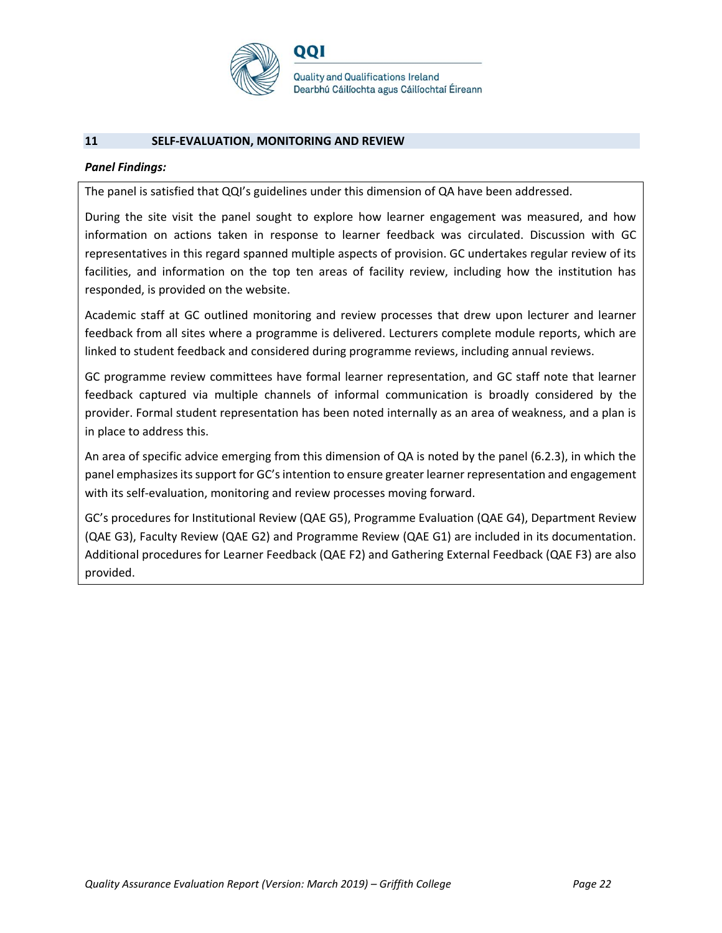

#### **11 SELF-EVALUATION, MONITORING AND REVIEW**

#### *Panel Findings:*

The panel is satisfied that QQI's guidelines under this dimension of QA have been addressed.

During the site visit the panel sought to explore how learner engagement was measured, and how information on actions taken in response to learner feedback was circulated. Discussion with GC representatives in this regard spanned multiple aspects of provision. GC undertakes regular review of its facilities, and information on the top ten areas of facility review, including how the institution has responded, is provided on the website.

Academic staff at GC outlined monitoring and review processes that drew upon lecturer and learner feedback from all sites where a programme is delivered. Lecturers complete module reports, which are linked to student feedback and considered during programme reviews, including annual reviews.

GC programme review committees have formal learner representation, and GC staff note that learner feedback captured via multiple channels of informal communication is broadly considered by the provider. Formal student representation has been noted internally as an area of weakness, and a plan is in place to address this.

An area of specific advice emerging from this dimension of QA is noted by the panel (6.2.3), in which the panel emphasizes its support for GC's intention to ensure greater learner representation and engagement with its self-evaluation, monitoring and review processes moving forward.

GC's procedures for Institutional Review (QAE G5), Programme Evaluation (QAE G4), Department Review (QAE G3), Faculty Review (QAE G2) and Programme Review (QAE G1) are included in its documentation. Additional procedures for Learner Feedback (QAE F2) and Gathering External Feedback (QAE F3) are also provided.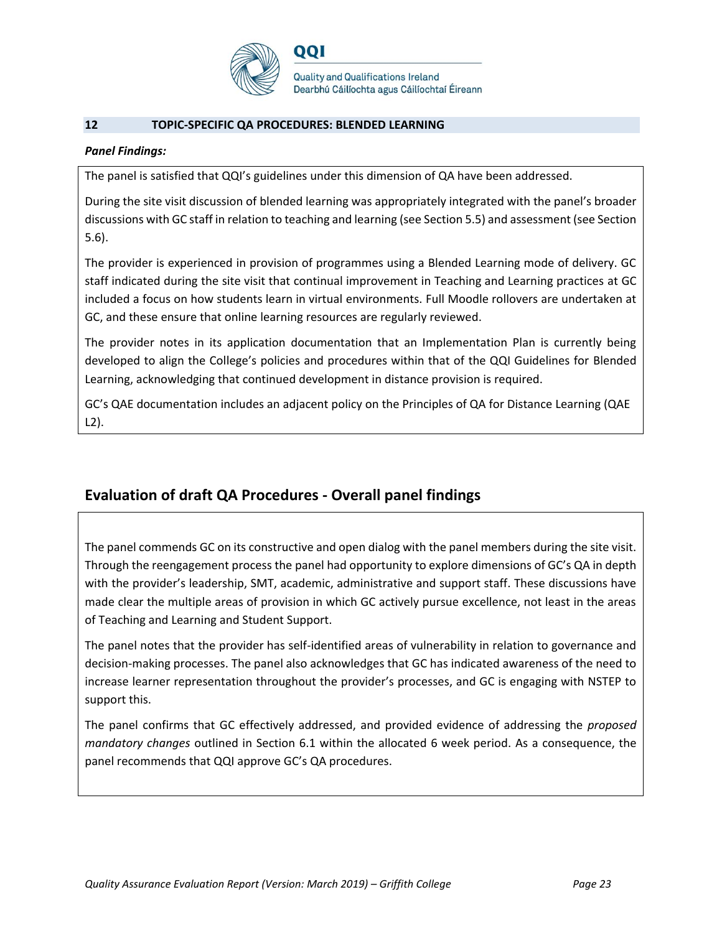

## **12 TOPIC-SPECIFIC QA PROCEDURES: BLENDED LEARNING**

## *Panel Findings:*

The panel is satisfied that QQI's guidelines under this dimension of QA have been addressed.

During the site visit discussion of blended learning was appropriately integrated with the panel's broader discussions with GC staff in relation to teaching and learning (see Section 5.5) and assessment (see Section 5.6).

The provider is experienced in provision of programmes using a Blended Learning mode of delivery. GC staff indicated during the site visit that continual improvement in Teaching and Learning practices at GC included a focus on how students learn in virtual environments. Full Moodle rollovers are undertaken at GC, and these ensure that online learning resources are regularly reviewed.

The provider notes in its application documentation that an Implementation Plan is currently being developed to align the College's policies and procedures within that of the QQI Guidelines for Blended Learning, acknowledging that continued development in distance provision is required.

GC's QAE documentation includes an adjacent policy on the Principles of QA for Distance Learning (QAE L2).

# **Evaluation of draft QA Procedures - Overall panel findings**

The panel commends GC on its constructive and open dialog with the panel members during the site visit. Through the reengagement process the panel had opportunity to explore dimensions of GC's QA in depth with the provider's leadership, SMT, academic, administrative and support staff. These discussions have made clear the multiple areas of provision in which GC actively pursue excellence, not least in the areas of Teaching and Learning and Student Support.

The panel notes that the provider has self-identified areas of vulnerability in relation to governance and decision-making processes. The panel also acknowledges that GC has indicated awareness of the need to increase learner representation throughout the provider's processes, and GC is engaging with NSTEP to support this.

The panel confirms that GC effectively addressed, and provided evidence of addressing the *proposed mandatory changes* outlined in Section 6.1 within the allocated 6 week period. As a consequence, the panel recommends that QQI approve GC's QA procedures.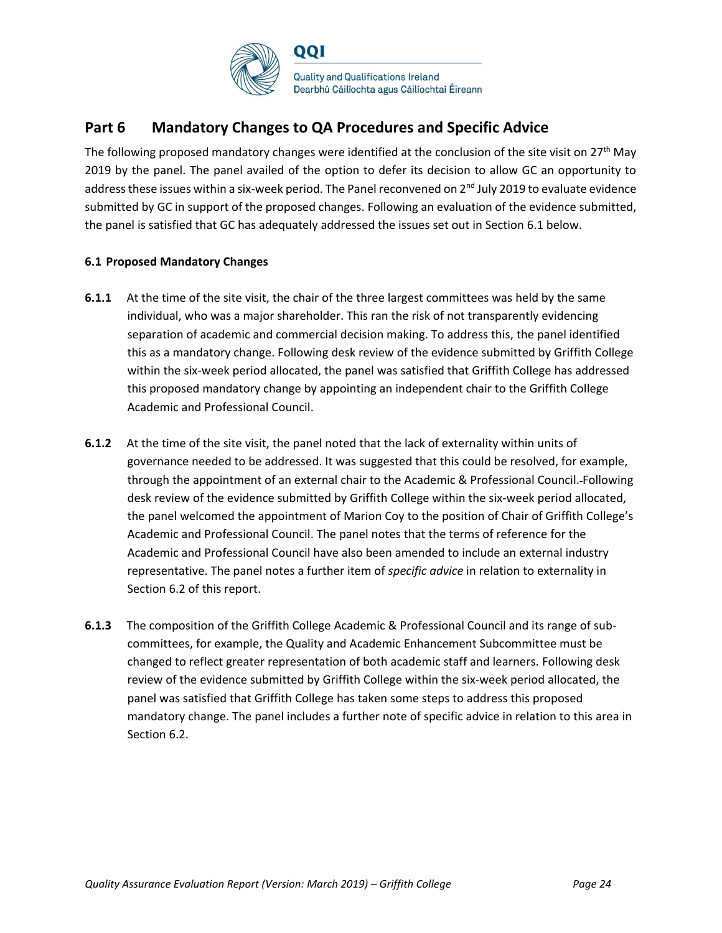

# **Part 6 Mandatory Changes to QA Procedures and Specific Advice**

The following proposed mandatory changes were identified at the conclusion of the site visit on 27<sup>th</sup> May 2019 by the panel. The panel availed of the option to defer its decision to allow GC an opportunity to address these issues within a six-week period. The Panel reconvened on 2<sup>nd</sup> July 2019 to evaluate evidence submitted by GC in support of the proposed changes. Following an evaluation of the evidence submitted, the panel is satisfied that GC has adequately addressed the issues set out in Section 6.1 below.

## **6.1 Proposed Mandatory Changes**

- **6.1.1** At the time of the site visit, the chair of the three largest committees was held by the same individual, who was a major shareholder. This ran the risk of not transparently evidencing separation of academic and commercial decision making. To address this, the panel identified this as a mandatory change. Following desk review of the evidence submitted by Griffith College within the six-week period allocated, the panel was satisfied that Griffith College has addressed this proposed mandatory change by appointing an independent chair to the Griffith College Academic and Professional Council.
- **6.1.2** At the time of the site visit, the panel noted that the lack of externality within units of governance needed to be addressed. It was suggested that this could be resolved, for example, through the appointment of an external chair to the Academic & Professional Council. Following desk review of the evidence submitted by Griffith College within the six-week period allocated, the panel welcomed the appointment of Marion Coy to the position of Chair of Griffith College's Academic and Professional Council. The panel notes that the terms of reference for the Academic and Professional Council have also been amended to include an external industry representative. The panel notes a further item of *specific advice* in relation to externality in Section 6.2 of this report.
- **6.1.3** The composition of the Griffith College Academic & Professional Council and its range of subcommittees, for example, the Quality and Academic Enhancement Subcommittee must be changed to reflect greater representation of both academic staff and learners. Following desk review of the evidence submitted by Griffith College within the six-week period allocated, the panel was satisfied that Griffith College has taken some steps to address this proposed mandatory change. The panel includes a further note of specific advice in relation to this area in Section 6.2.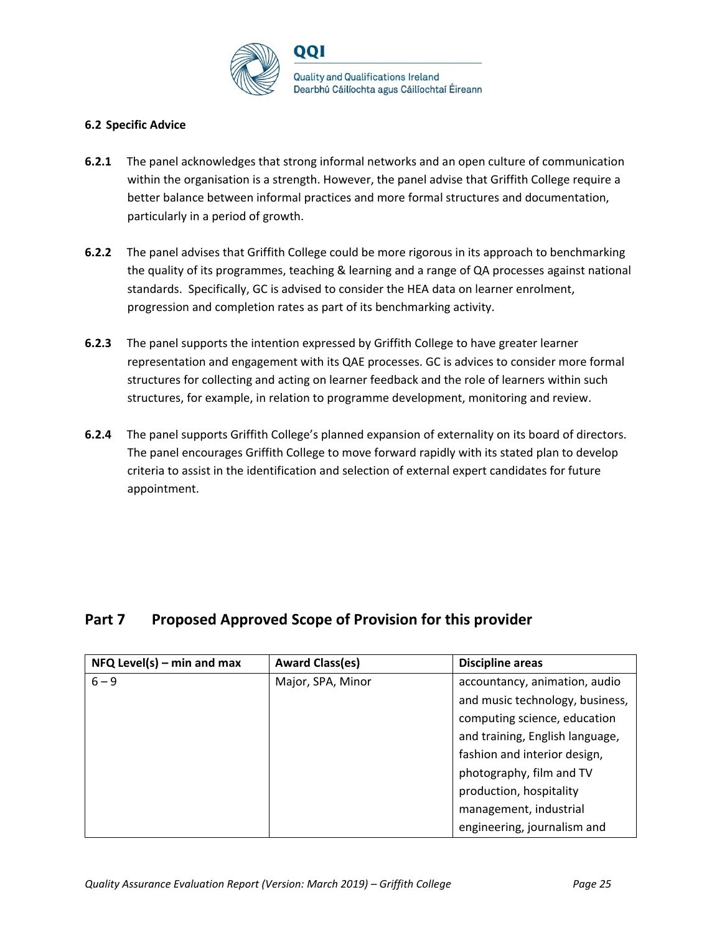

## **6.2 Specific Advice**

- **6.2.1** The panel acknowledges that strong informal networks and an open culture of communication within the organisation is a strength. However, the panel advise that Griffith College require a better balance between informal practices and more formal structures and documentation, particularly in a period of growth.
- **6.2.2** The panel advises that Griffith College could be more rigorous in its approach to benchmarking the quality of its programmes, teaching & learning and a range of QA processes against national standards. Specifically, GC is advised to consider the HEA data on learner enrolment, progression and completion rates as part of its benchmarking activity.
- **6.2.3** The panel supports the intention expressed by Griffith College to have greater learner representation and engagement with its QAE processes. GC is advices to consider more formal structures for collecting and acting on learner feedback and the role of learners within such structures, for example, in relation to programme development, monitoring and review.
- **6.2.4** The panel supports Griffith College's planned expansion of externality on its board of directors. The panel encourages Griffith College to move forward rapidly with its stated plan to develop criteria to assist in the identification and selection of external expert candidates for future appointment.

# Part 7 Proposed Approved Scope of Provision for this provider

| $NFA$ Level(s) – min and max | <b>Award Class(es)</b> | <b>Discipline areas</b>         |
|------------------------------|------------------------|---------------------------------|
| $6 - 9$                      | Major, SPA, Minor      | accountancy, animation, audio   |
|                              |                        | and music technology, business, |
|                              |                        | computing science, education    |
|                              |                        | and training, English language, |
|                              |                        | fashion and interior design,    |
|                              |                        | photography, film and TV        |
|                              |                        | production, hospitality         |
|                              |                        | management, industrial          |
|                              |                        | engineering, journalism and     |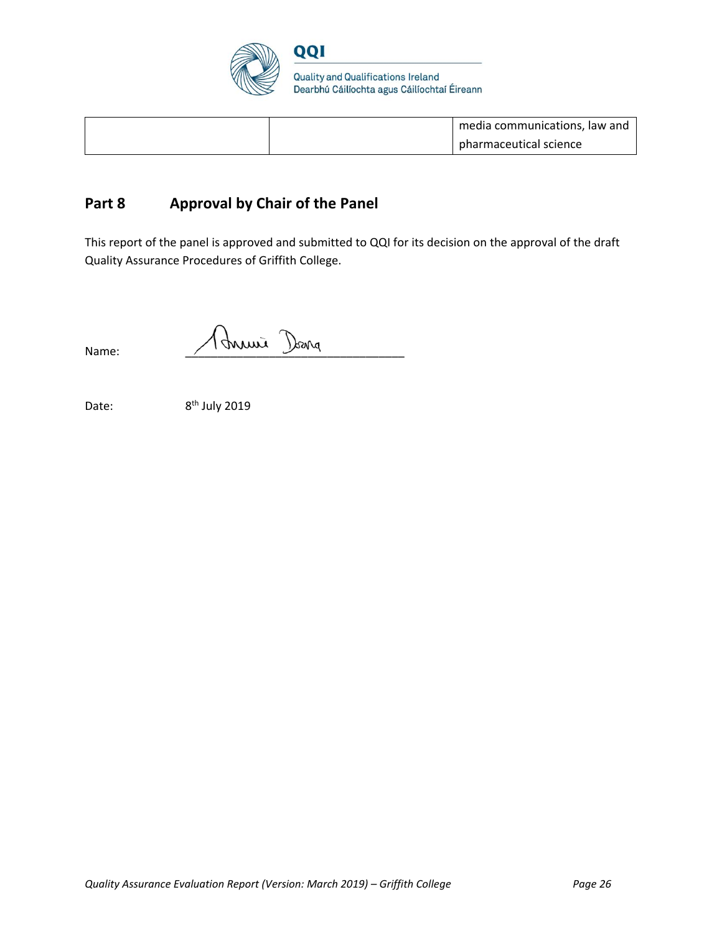

|  | media communications, law and |
|--|-------------------------------|
|  | pharmaceutical science        |

# **Part 8 Approval by Chair of the Panel**

This report of the panel is approved and submitted to QQI for its decision on the approval of the draft Quality Assurance Procedures of Griffith College.

 $\bigwedge$  Name:  $\bigwedge$  Muni Dang

Date:

 $8<sup>th</sup>$  July 2019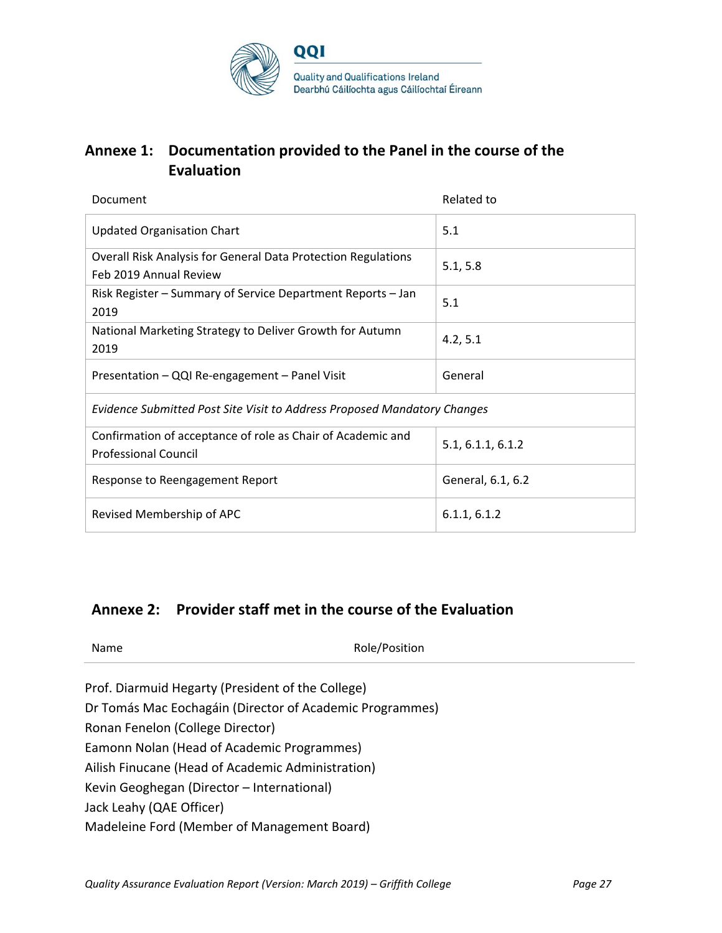

# **Annexe 1: Documentation provided to the Panel in the course of the Evaluation**

| Document                                                                                       | Related to        |  |
|------------------------------------------------------------------------------------------------|-------------------|--|
| <b>Updated Organisation Chart</b>                                                              | 5.1               |  |
| <b>Overall Risk Analysis for General Data Protection Regulations</b><br>Feb 2019 Annual Review | 5.1, 5.8          |  |
| Risk Register – Summary of Service Department Reports – Jan<br>2019                            | 5.1               |  |
| National Marketing Strategy to Deliver Growth for Autumn<br>2019                               | 4.2, 5.1          |  |
| Presentation - QQI Re-engagement - Panel Visit                                                 | General           |  |
| Evidence Submitted Post Site Visit to Address Proposed Mandatory Changes                       |                   |  |
| Confirmation of acceptance of role as Chair of Academic and<br><b>Professional Council</b>     | 5.1, 6.1.1, 6.1.2 |  |
| Response to Reengagement Report                                                                | General, 6.1, 6.2 |  |
| Revised Membership of APC                                                                      | 6.1.1, 6.1.2      |  |

# **Annexe 2: Provider staff met in the course of the Evaluation**

Name Role/Position

- Prof. Diarmuid Hegarty (President of the College)
- Dr Tomás Mac Eochagáin (Director of Academic Programmes)
- Ronan Fenelon (College Director)
- Eamonn Nolan (Head of Academic Programmes)
- Ailish Finucane (Head of Academic Administration)
- Kevin Geoghegan (Director International)
- Jack Leahy (QAE Officer)
- Madeleine Ford (Member of Management Board)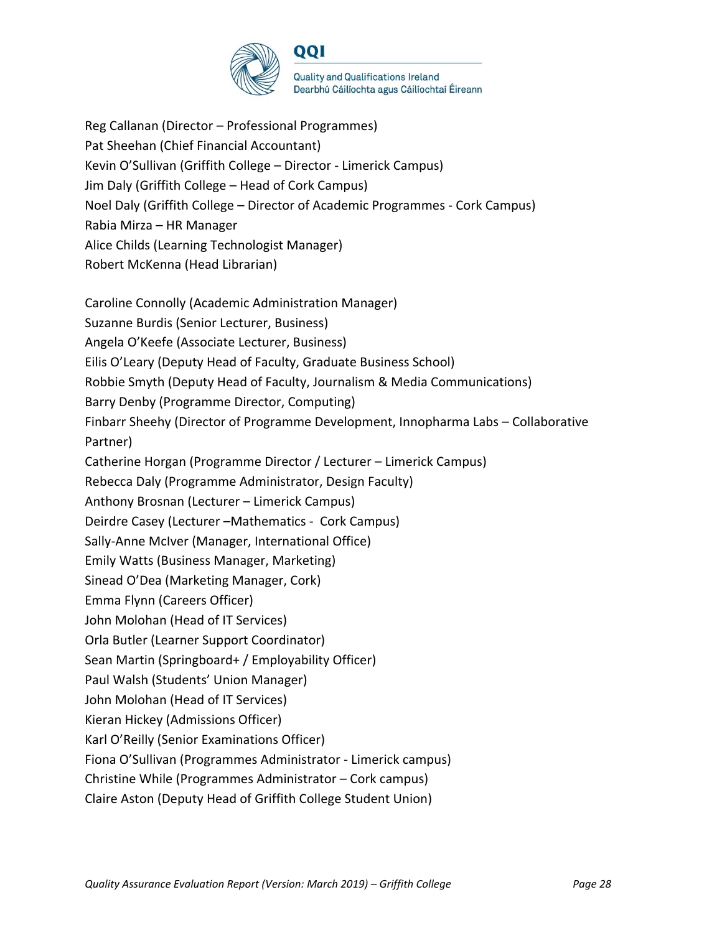

Reg Callanan (Director – Professional Programmes) Pat Sheehan (Chief Financial Accountant) Kevin O'Sullivan (Griffith College – Director - Limerick Campus) Jim Daly (Griffith College – Head of Cork Campus) Noel Daly (Griffith College – Director of Academic Programmes - Cork Campus) Rabia Mirza – HR Manager Alice Childs (Learning Technologist Manager) Robert McKenna (Head Librarian) Caroline Connolly (Academic Administration Manager) Suzanne Burdis (Senior Lecturer, Business) Angela O'Keefe (Associate Lecturer, Business) Eilis O'Leary (Deputy Head of Faculty, Graduate Business School) Robbie Smyth (Deputy Head of Faculty, Journalism & Media Communications) Barry Denby (Programme Director, Computing) Finbarr Sheehy (Director of Programme Development, Innopharma Labs – Collaborative Partner) Catherine Horgan (Programme Director / Lecturer – Limerick Campus) Rebecca Daly (Programme Administrator, Design Faculty) Anthony Brosnan (Lecturer – Limerick Campus) Deirdre Casey (Lecturer –Mathematics - Cork Campus) Sally-Anne McIver (Manager, International Office) Emily Watts (Business Manager, Marketing) Sinead O'Dea (Marketing Manager, Cork) Emma Flynn (Careers Officer) John Molohan (Head of IT Services) Orla Butler (Learner Support Coordinator) Sean Martin (Springboard+ / Employability Officer) Paul Walsh (Students' Union Manager) John Molohan (Head of IT Services) Kieran Hickey (Admissions Officer) Karl O'Reilly (Senior Examinations Officer) Fiona O'Sullivan (Programmes Administrator - Limerick campus) Christine While (Programmes Administrator – Cork campus) Claire Aston (Deputy Head of Griffith College Student Union)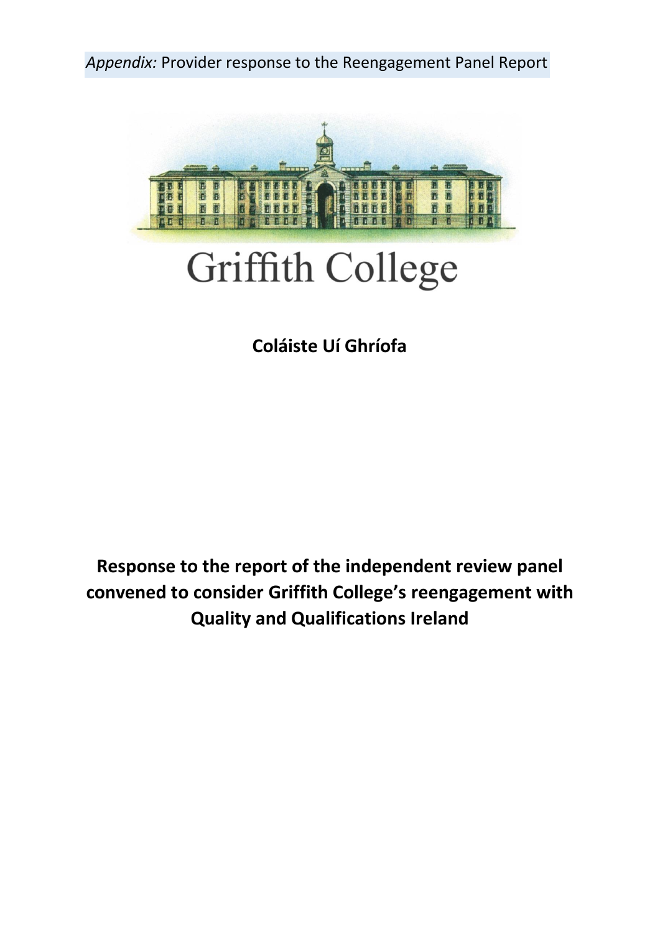*Appendix:* Provider response to the Reengagement Panel Report



# Griffith College

# **Coláiste Uí Ghríofa**

**Response to the report of the independent review panel convened to consider Griffith College's reengagement with Quality and Qualifications Ireland**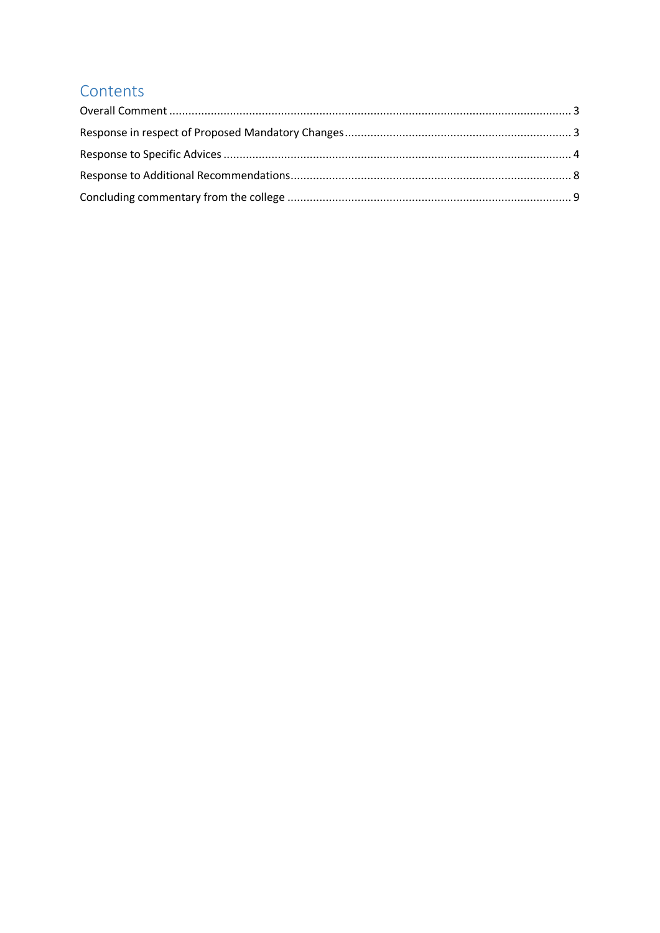# Contents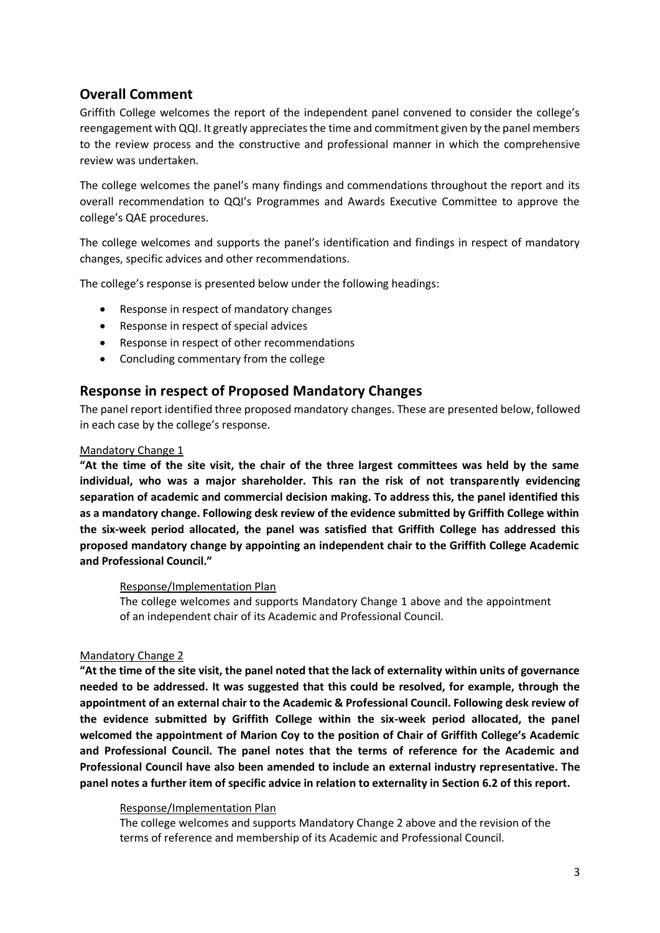# <span id="page-30-0"></span>**Overall Comment**

Griffith College welcomes the report of the independent panel convened to consider the college's reengagement with QQI. It greatly appreciates the time and commitment given by the panel members to the review process and the constructive and professional manner in which the comprehensive review was undertaken.

The college welcomes the panel's many findings and commendations throughout the report and its overall recommendation to QQI's Programmes and Awards Executive Committee to approve the college's QAE procedures.

The college welcomes and supports the panel's identification and findings in respect of mandatory changes, specific advices and other recommendations.

The college's response is presented below under the following headings:

- Response in respect of mandatory changes
- Response in respect of special advices
- Response in respect of other recommendations
- Concluding commentary from the college

# <span id="page-30-1"></span>**Response in respect of Proposed Mandatory Changes**

The panel report identified three proposed mandatory changes. These are presented below, followed in each case by the college's response.

## Mandatory Change 1

**"At the time of the site visit, the chair of the three largest committees was held by the same individual, who was a major shareholder. This ran the risk of not transparently evidencing separation of academic and commercial decision making. To address this, the panel identified this as a mandatory change. Following desk review of the evidence submitted by Griffith College within the six-week period allocated, the panel was satisfied that Griffith College has addressed this proposed mandatory change by appointing an independent chair to the Griffith College Academic and Professional Council."**

#### Response/Implementation Plan

The college welcomes and supports Mandatory Change 1 above and the appointment of an independent chair of its Academic and Professional Council.

## Mandatory Change 2

**"At the time of the site visit, the panel noted that the lack of externality within units of governance needed to be addressed. It was suggested that this could be resolved, for example, through the appointment of an external chair to the Academic & Professional Council. Following desk review of the evidence submitted by Griffith College within the six-week period allocated, the panel welcomed the appointment of Marion Coy to the position of Chair of Griffith College's Academic and Professional Council. The panel notes that the terms of reference for the Academic and Professional Council have also been amended to include an external industry representative. The panel notes a further item of specific advice in relation to externality in Section 6.2 of this report.** 

## Response/Implementation Plan

The college welcomes and supports Mandatory Change 2 above and the revision of the terms of reference and membership of its Academic and Professional Council.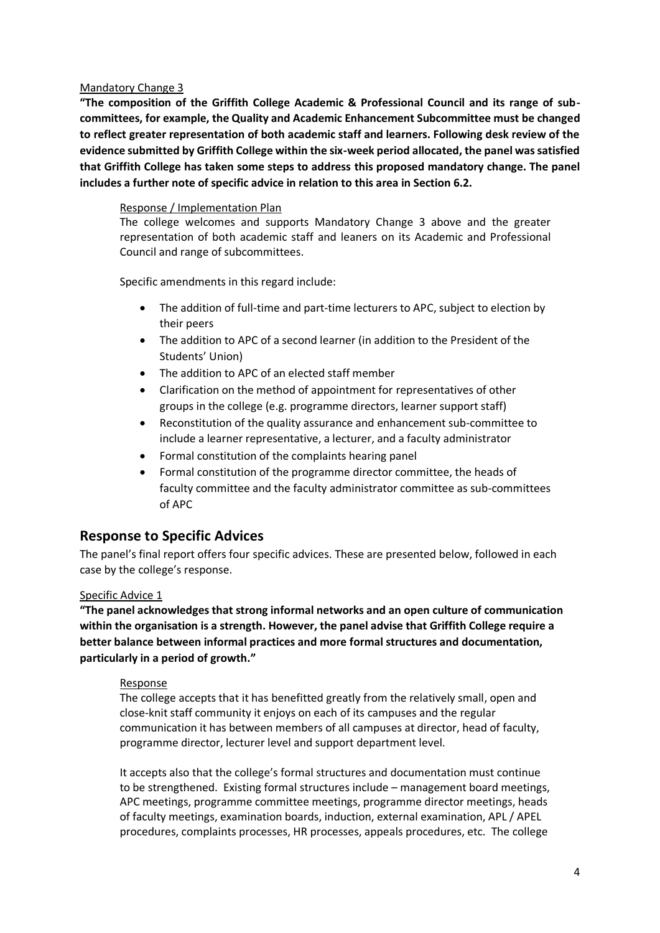## Mandatory Change 3

**"The composition of the Griffith College Academic & Professional Council and its range of subcommittees, for example, the Quality and Academic Enhancement Subcommittee must be changed to reflect greater representation of both academic staff and learners. Following desk review of the evidence submitted by Griffith College within the six-week period allocated, the panel was satisfied that Griffith College has taken some steps to address this proposed mandatory change. The panel includes a further note of specific advice in relation to this area in Section 6.2.** 

## Response / Implementation Plan

The college welcomes and supports Mandatory Change 3 above and the greater representation of both academic staff and leaners on its Academic and Professional Council and range of subcommittees.

Specific amendments in this regard include:

- The addition of full-time and part-time lecturers to APC, subject to election by their peers
- The addition to APC of a second learner (in addition to the President of the Students' Union)
- The addition to APC of an elected staff member
- Clarification on the method of appointment for representatives of other groups in the college (e.g. programme directors, learner support staff)
- Reconstitution of the quality assurance and enhancement sub-committee to include a learner representative, a lecturer, and a faculty administrator
- Formal constitution of the complaints hearing panel
- Formal constitution of the programme director committee, the heads of faculty committee and the faculty administrator committee as sub-committees of APC

# <span id="page-31-0"></span>**Response to Specific Advices**

The panel's final report offers four specific advices. These are presented below, followed in each case by the college's response.

# Specific Advice 1

**"The panel acknowledges that strong informal networks and an open culture of communication within the organisation is a strength. However, the panel advise that Griffith College require a better balance between informal practices and more formal structures and documentation, particularly in a period of growth."**

## Response

The college accepts that it has benefitted greatly from the relatively small, open and close-knit staff community it enjoys on each of its campuses and the regular communication it has between members of all campuses at director, head of faculty, programme director, lecturer level and support department level.

It accepts also that the college's formal structures and documentation must continue to be strengthened. Existing formal structures include – management board meetings, APC meetings, programme committee meetings, programme director meetings, heads of faculty meetings, examination boards, induction, external examination, APL / APEL procedures, complaints processes, HR processes, appeals procedures, etc. The college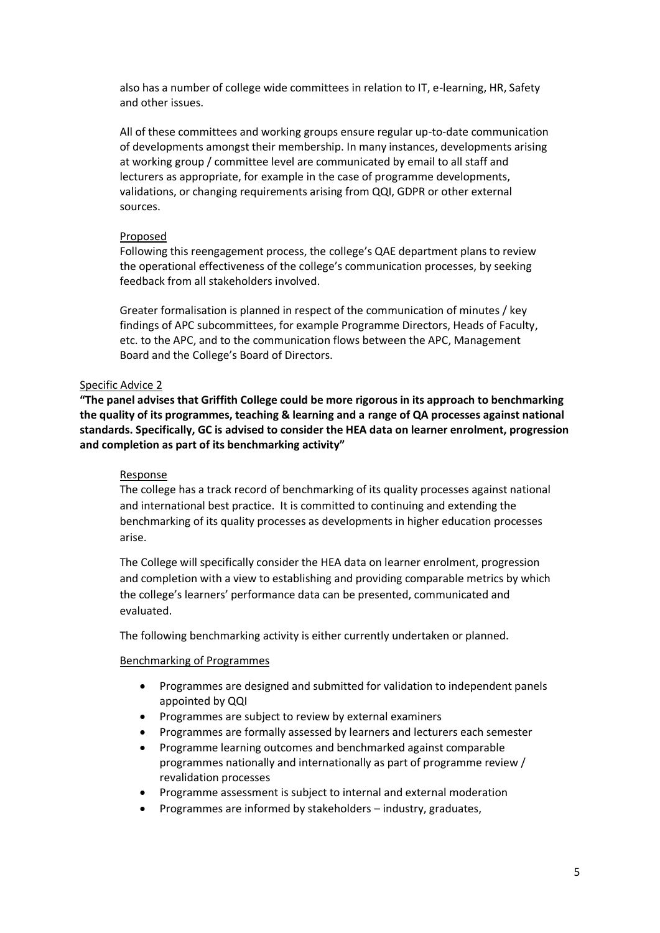also has a number of college wide committees in relation to IT, e-learning, HR, Safety and other issues.

All of these committees and working groups ensure regular up-to-date communication of developments amongst their membership. In many instances, developments arising at working group / committee level are communicated by email to all staff and lecturers as appropriate, for example in the case of programme developments, validations, or changing requirements arising from QQI, GDPR or other external sources.

## Proposed

Following this reengagement process, the college's QAE department plans to review the operational effectiveness of the college's communication processes, by seeking feedback from all stakeholders involved.

Greater formalisation is planned in respect of the communication of minutes / key findings of APC subcommittees, for example Programme Directors, Heads of Faculty, etc. to the APC, and to the communication flows between the APC, Management Board and the College's Board of Directors.

## Specific Advice 2

**"The panel advises that Griffith College could be more rigorous in its approach to benchmarking the quality of its programmes, teaching & learning and a range of QA processes against national standards. Specifically, GC is advised to consider the HEA data on learner enrolment, progression and completion as part of its benchmarking activity"**

## **Response**

The college has a track record of benchmarking of its quality processes against national and international best practice. It is committed to continuing and extending the benchmarking of its quality processes as developments in higher education processes arise.

The College will specifically consider the HEA data on learner enrolment, progression and completion with a view to establishing and providing comparable metrics by which the college's learners' performance data can be presented, communicated and evaluated.

The following benchmarking activity is either currently undertaken or planned.

## Benchmarking of Programmes

- Programmes are designed and submitted for validation to independent panels appointed by QQI
- Programmes are subject to review by external examiners
- Programmes are formally assessed by learners and lecturers each semester
- Programme learning outcomes and benchmarked against comparable programmes nationally and internationally as part of programme review / revalidation processes
- Programme assessment is subject to internal and external moderation
- Programmes are informed by stakeholders industry, graduates,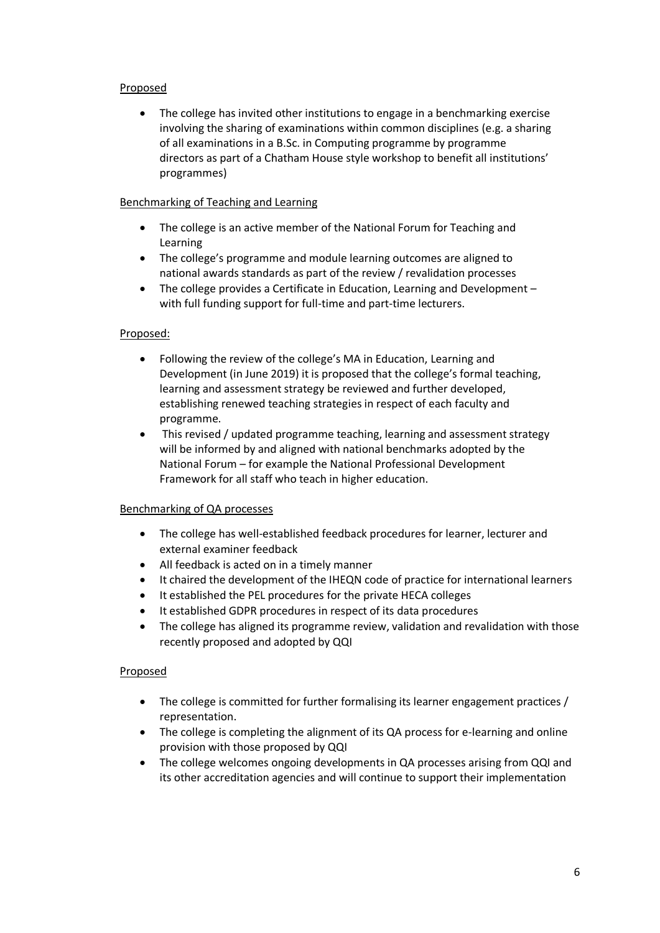## Proposed

• The college has invited other institutions to engage in a benchmarking exercise involving the sharing of examinations within common disciplines (e.g. a sharing of all examinations in a B.Sc. in Computing programme by programme directors as part of a Chatham House style workshop to benefit all institutions' programmes)

## Benchmarking of Teaching and Learning

- The college is an active member of the National Forum for Teaching and Learning
- The college's programme and module learning outcomes are aligned to national awards standards as part of the review / revalidation processes
- The college provides a Certificate in Education, Learning and Development with full funding support for full-time and part-time lecturers.

## Proposed:

- Following the review of the college's MA in Education, Learning and Development (in June 2019) it is proposed that the college's formal teaching, learning and assessment strategy be reviewed and further developed, establishing renewed teaching strategies in respect of each faculty and programme.
- This revised / updated programme teaching, learning and assessment strategy will be informed by and aligned with national benchmarks adopted by the National Forum – for example the National Professional Development Framework for all staff who teach in higher education.

# Benchmarking of QA processes

- The college has well-established feedback procedures for learner, lecturer and external examiner feedback
- All feedback is acted on in a timely manner
- It chaired the development of the IHEQN code of practice for international learners
- It established the PEL procedures for the private HECA colleges
- It established GDPR procedures in respect of its data procedures
- The college has aligned its programme review, validation and revalidation with those recently proposed and adopted by QQI

# Proposed

- The college is committed for further formalising its learner engagement practices / representation.
- The college is completing the alignment of its QA process for e-learning and online provision with those proposed by QQI
- The college welcomes ongoing developments in QA processes arising from QQI and its other accreditation agencies and will continue to support their implementation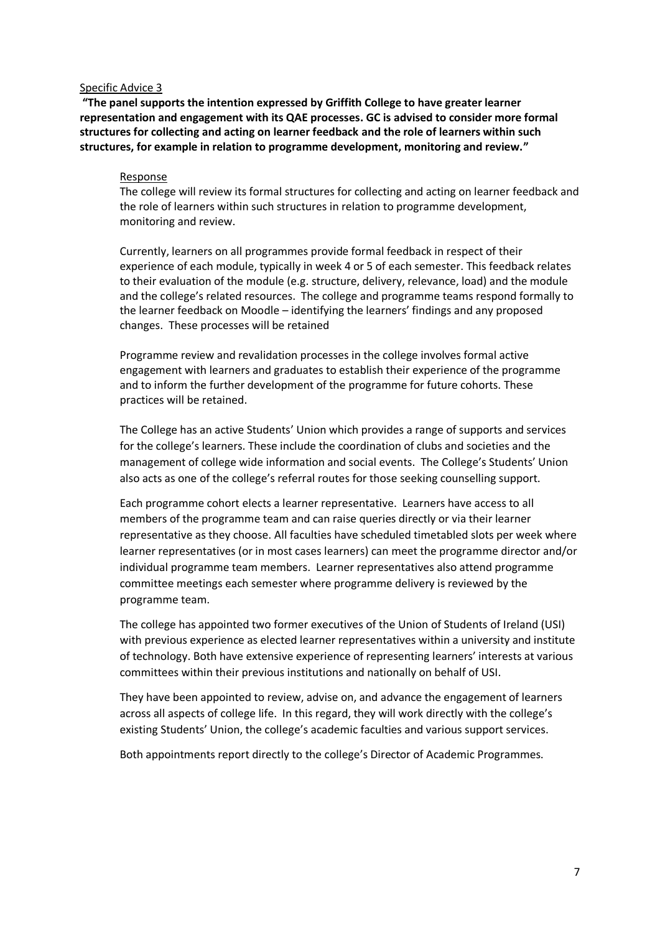#### Specific Advice 3

**"The panel supports the intention expressed by Griffith College to have greater learner representation and engagement with its QAE processes. GC is advised to consider more formal structures for collecting and acting on learner feedback and the role of learners within such structures, for example in relation to programme development, monitoring and review."**

#### Response

The college will review its formal structures for collecting and acting on learner feedback and the role of learners within such structures in relation to programme development, monitoring and review.

Currently, learners on all programmes provide formal feedback in respect of their experience of each module, typically in week 4 or 5 of each semester. This feedback relates to their evaluation of the module (e.g. structure, delivery, relevance, load) and the module and the college's related resources. The college and programme teams respond formally to the learner feedback on Moodle – identifying the learners' findings and any proposed changes. These processes will be retained

Programme review and revalidation processes in the college involves formal active engagement with learners and graduates to establish their experience of the programme and to inform the further development of the programme for future cohorts. These practices will be retained.

The College has an active Students' Union which provides a range of supports and services for the college's learners. These include the coordination of clubs and societies and the management of college wide information and social events. The College's Students' Union also acts as one of the college's referral routes for those seeking counselling support.

Each programme cohort elects a learner representative. Learners have access to all members of the programme team and can raise queries directly or via their learner representative as they choose. All faculties have scheduled timetabled slots per week where learner representatives (or in most cases learners) can meet the programme director and/or individual programme team members. Learner representatives also attend programme committee meetings each semester where programme delivery is reviewed by the programme team.

The college has appointed two former executives of the Union of Students of Ireland (USI) with previous experience as elected learner representatives within a university and institute of technology. Both have extensive experience of representing learners' interests at various committees within their previous institutions and nationally on behalf of USI.

They have been appointed to review, advise on, and advance the engagement of learners across all aspects of college life. In this regard, they will work directly with the college's existing Students' Union, the college's academic faculties and various support services.

Both appointments report directly to the college's Director of Academic Programmes.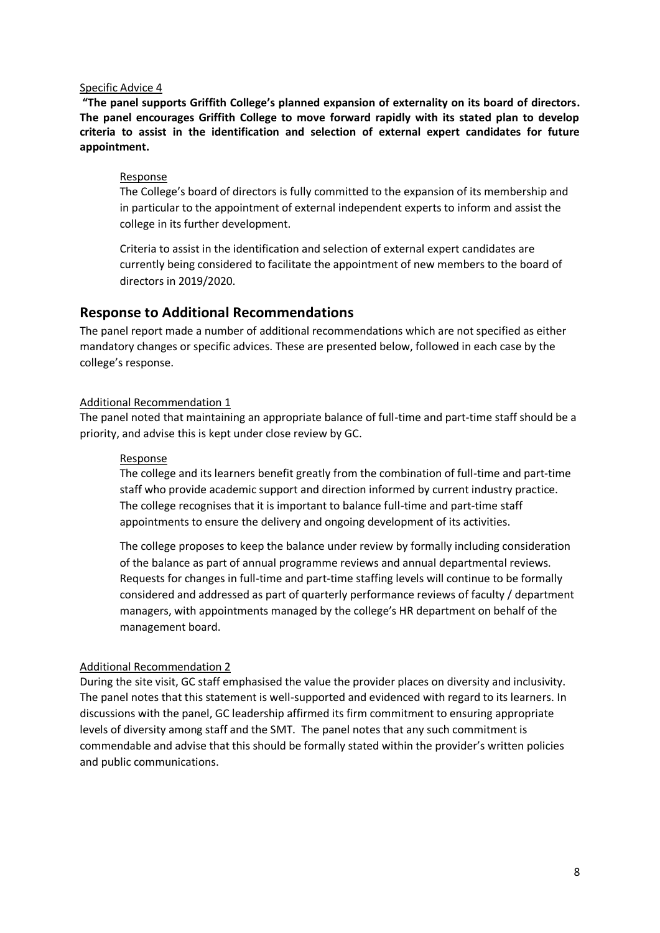#### Specific Advice 4

**"The panel supports Griffith College's planned expansion of externality on its board of directors. The panel encourages Griffith College to move forward rapidly with its stated plan to develop criteria to assist in the identification and selection of external expert candidates for future appointment.**

## Response

The College's board of directors is fully committed to the expansion of its membership and in particular to the appointment of external independent experts to inform and assist the college in its further development.

Criteria to assist in the identification and selection of external expert candidates are currently being considered to facilitate the appointment of new members to the board of directors in 2019/2020.

# <span id="page-35-0"></span>**Response to Additional Recommendations**

The panel report made a number of additional recommendations which are not specified as either mandatory changes or specific advices. These are presented below, followed in each case by the college's response.

## Additional Recommendation 1

The panel noted that maintaining an appropriate balance of full-time and part-time staff should be a priority, and advise this is kept under close review by GC.

#### Response

The college and its learners benefit greatly from the combination of full-time and part-time staff who provide academic support and direction informed by current industry practice. The college recognises that it is important to balance full-time and part-time staff appointments to ensure the delivery and ongoing development of its activities.

The college proposes to keep the balance under review by formally including consideration of the balance as part of annual programme reviews and annual departmental reviews. Requests for changes in full-time and part-time staffing levels will continue to be formally considered and addressed as part of quarterly performance reviews of faculty / department managers, with appointments managed by the college's HR department on behalf of the management board.

## Additional Recommendation 2

During the site visit, GC staff emphasised the value the provider places on diversity and inclusivity. The panel notes that this statement is well-supported and evidenced with regard to its learners. In discussions with the panel, GC leadership affirmed its firm commitment to ensuring appropriate levels of diversity among staff and the SMT. The panel notes that any such commitment is commendable and advise that this should be formally stated within the provider's written policies and public communications.